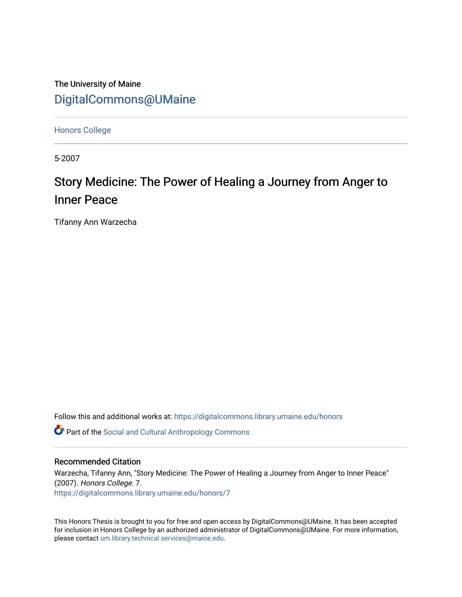The University of Maine [DigitalCommons@UMaine](https://digitalcommons.library.umaine.edu/)

[Honors College](https://digitalcommons.library.umaine.edu/honors)

5-2007

# Story Medicine: The Power of Healing a Journey from Anger to Inner Peace

Tifanny Ann Warzecha

Follow this and additional works at: [https://digitalcommons.library.umaine.edu/honors](https://digitalcommons.library.umaine.edu/honors?utm_source=digitalcommons.library.umaine.edu%2Fhonors%2F7&utm_medium=PDF&utm_campaign=PDFCoverPages) 

**C** Part of the Social and Cultural Anthropology Commons

### Recommended Citation

Warzecha, Tifanny Ann, "Story Medicine: The Power of Healing a Journey from Anger to Inner Peace" (2007). Honors College. 7. [https://digitalcommons.library.umaine.edu/honors/7](https://digitalcommons.library.umaine.edu/honors/7?utm_source=digitalcommons.library.umaine.edu%2Fhonors%2F7&utm_medium=PDF&utm_campaign=PDFCoverPages)

This Honors Thesis is brought to you for free and open access by DigitalCommons@UMaine. It has been accepted for inclusion in Honors College by an authorized administrator of DigitalCommons@UMaine. For more information, please contact [um.library.technical.services@maine.edu.](mailto:um.library.technical.services@maine.edu)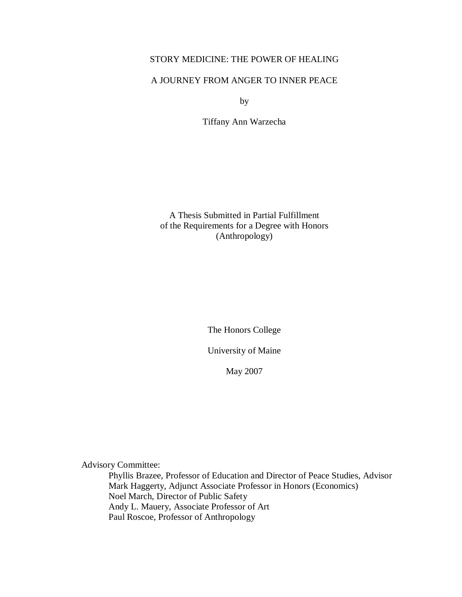# STORY MEDICINE: THE POWER OF HEALING

## A JOURNEY FROM ANGER TO INNER PEACE

by

Tiffany Ann Warzecha

A Thesis Submitted in Partial Fulfillment of the Requirements for a Degree with Honors (Anthropology)

The Honors College

University of Maine

May 2007

Advisory Committee:

Phyllis Brazee, Professor of Education and Director of Peace Studies, Advisor Mark Haggerty, Adjunct Associate Professor in Honors (Economics) Noel March, Director of Public Safety Andy L. Mauery, Associate Professor of Art Paul Roscoe, Professor of Anthropology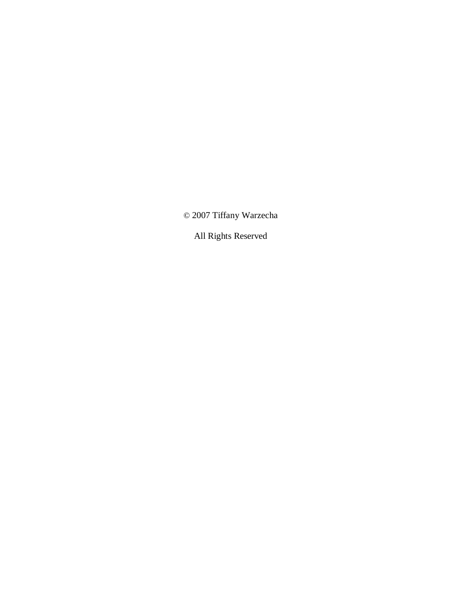© 2007 Tiffany Warzecha

All Rights Reserved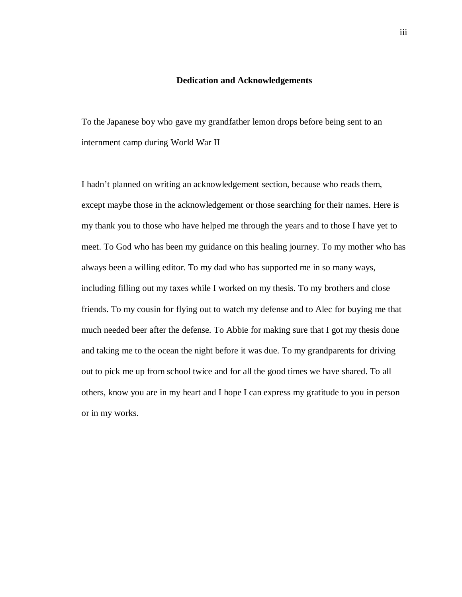#### **Dedication and Acknowledgements**

To the Japanese boy who gave my grandfather lemon drops before being sent to an internment camp during World War II

I hadn't planned on writing an acknowledgement section, because who reads them, except maybe those in the acknowledgement or those searching for their names. Here is my thank you to those who have helped me through the years and to those I have yet to meet. To God who has been my guidance on this healing journey. To my mother who has always been a willing editor. To my dad who has supported me in so many ways, including filling out my taxes while I worked on my thesis. To my brothers and close friends. To my cousin for flying out to watch my defense and to Alec for buying me that much needed beer after the defense. To Abbie for making sure that I got my thesis done and taking me to the ocean the night before it was due. To my grandparents for driving out to pick me up from school twice and for all the good times we have shared. To all others, know you are in my heart and I hope I can express my gratitude to you in person or in my works.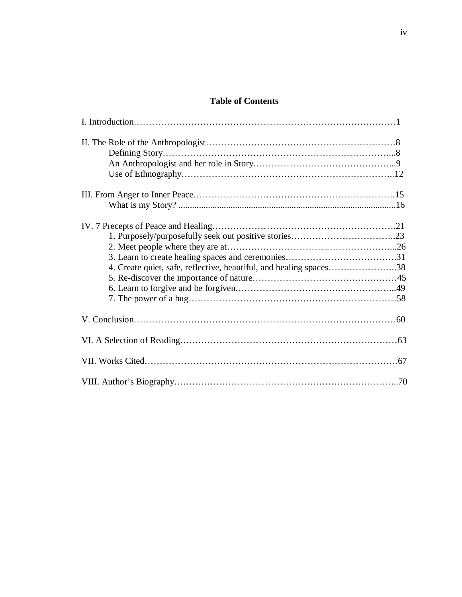# **Table of Contents**

| 4. Create quiet, safe, reflective, beautiful, and healing spaces38 |  |
|--------------------------------------------------------------------|--|
|                                                                    |  |
|                                                                    |  |
|                                                                    |  |
|                                                                    |  |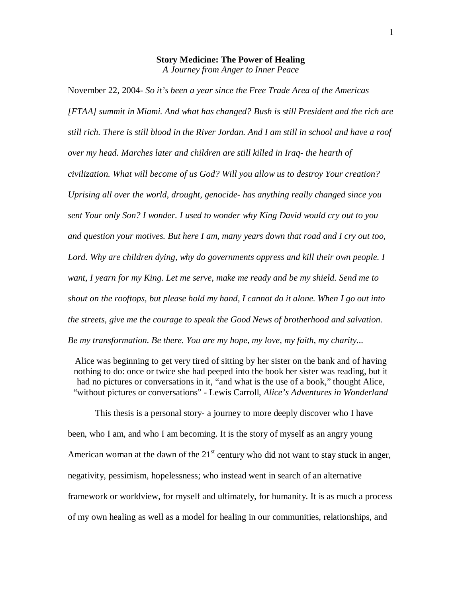#### **Story Medicine: The Power of Healing** *A Journey from Anger to Inner Peace*

November 22, 2004- *So it's been a year since the Free Trade Area of the Americas [FTAA] summit in Miami. And what has changed? Bush is still President and the rich are still rich. There is still blood in the River Jordan. And I am still in school and have a roof over my head. Marches later and children are still killed in Iraq- the hearth of civilization. What will become of us God? Will you allow us to destroy Your creation? Uprising all over the world, drought, genocide- has anything really changed since you sent Your only Son? I wonder. I used to wonder why King David would cry out to you and question your motives. But here I am, many years down that road and I cry out too,*  Lord. Why are children dying, why do governments oppress and kill their own people. I *want, I yearn for my King. Let me serve, make me ready and be my shield. Send me to shout on the rooftops, but please hold my hand, I cannot do it alone. When I go out into the streets, give me the courage to speak the Good News of brotherhood and salvation. Be my transformation. Be there. You are my hope, my love, my faith, my charity...*

Alice was beginning to get very tired of sitting by her sister on the bank and of having nothing to do: once or twice she had peeped into the book her sister was reading, but it had no pictures or conversations in it, "and what is the use of a book," thought Alice, "without pictures or conversations" - Lewis Carroll, *Alice's Adventures in Wonderland*

This thesis is a personal story- a journey to more deeply discover who I have been, who I am, and who I am becoming. It is the story of myself as an angry young American woman at the dawn of the  $21<sup>st</sup>$  century who did not want to stay stuck in anger, negativity, pessimism, hopelessness; who instead went in search of an alternative framework or worldview, for myself and ultimately, for humanity. It is as much a process of my own healing as well as a model for healing in our communities, relationships, and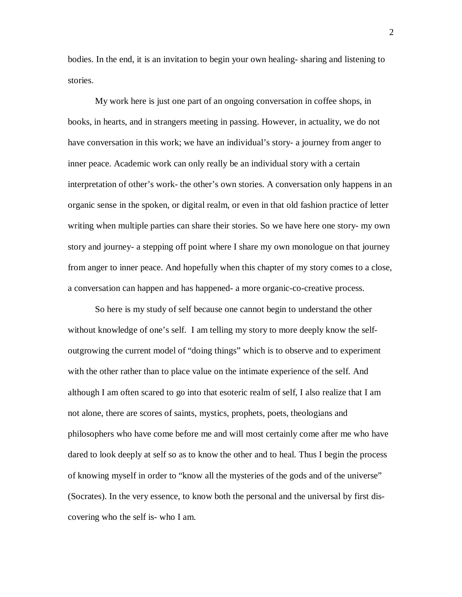bodies. In the end, it is an invitation to begin your own healing- sharing and listening to stories.

My work here is just one part of an ongoing conversation in coffee shops, in books, in hearts, and in strangers meeting in passing. However, in actuality, we do not have conversation in this work; we have an individual's story- a journey from anger to inner peace. Academic work can only really be an individual story with a certain interpretation of other's work- the other's own stories. A conversation only happens in an organic sense in the spoken, or digital realm, or even in that old fashion practice of letter writing when multiple parties can share their stories. So we have here one story- my own story and journey- a stepping off point where I share my own monologue on that journey from anger to inner peace. And hopefully when this chapter of my story comes to a close, a conversation can happen and has happened- a more organic-co-creative process.

So here is my study of self because one cannot begin to understand the other without knowledge of one's self. I am telling my story to more deeply know the selfoutgrowing the current model of "doing things" which is to observe and to experiment with the other rather than to place value on the intimate experience of the self. And although I am often scared to go into that esoteric realm of self, I also realize that I am not alone, there are scores of saints, mystics, prophets, poets, theologians and philosophers who have come before me and will most certainly come after me who have dared to look deeply at self so as to know the other and to heal. Thus I begin the process of knowing myself in order to "know all the mysteries of the gods and of the universe" (Socrates). In the very essence, to know both the personal and the universal by first discovering who the self is- who I am.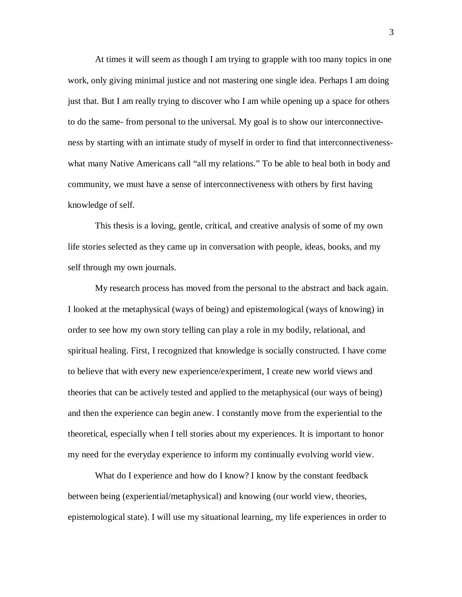At times it will seem as though I am trying to grapple with too many topics in one work, only giving minimal justice and not mastering one single idea. Perhaps I am doing just that. But I am really trying to discover who I am while opening up a space for others to do the same- from personal to the universal. My goal is to show our interconnectiveness by starting with an intimate study of myself in order to find that interconnectivenesswhat many Native Americans call "all my relations." To be able to heal both in body and community, we must have a sense of interconnectiveness with others by first having knowledge of self.

This thesis is a loving, gentle, critical, and creative analysis of some of my own life stories selected as they came up in conversation with people, ideas, books, and my self through my own journals.

My research process has moved from the personal to the abstract and back again. I looked at the metaphysical (ways of being) and epistemological (ways of knowing) in order to see how my own story telling can play a role in my bodily, relational, and spiritual healing. First, I recognized that knowledge is socially constructed. I have come to believe that with every new experience/experiment, I create new world views and theories that can be actively tested and applied to the metaphysical (our ways of being) and then the experience can begin anew. I constantly move from the experiential to the theoretical, especially when I tell stories about my experiences. It is important to honor my need for the everyday experience to inform my continually evolving world view.

What do I experience and how do I know? I know by the constant feedback between being (experiential/metaphysical) and knowing (our world view, theories, epistemological state). I will use my situational learning, my life experiences in order to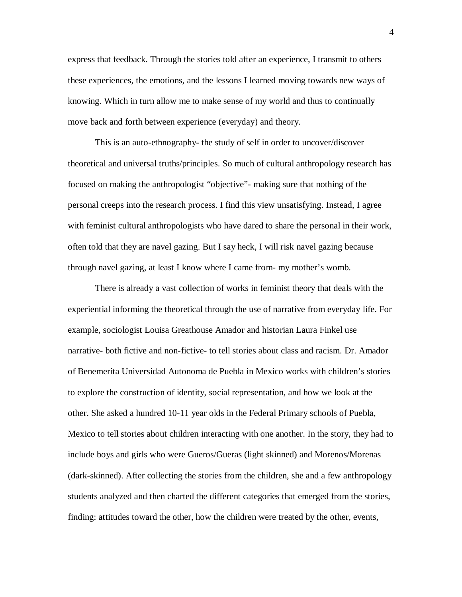express that feedback. Through the stories told after an experience, I transmit to others these experiences, the emotions, and the lessons I learned moving towards new ways of knowing. Which in turn allow me to make sense of my world and thus to continually move back and forth between experience (everyday) and theory.

This is an auto-ethnography- the study of self in order to uncover/discover theoretical and universal truths/principles. So much of cultural anthropology research has focused on making the anthropologist "objective"- making sure that nothing of the personal creeps into the research process. I find this view unsatisfying. Instead, I agree with feminist cultural anthropologists who have dared to share the personal in their work, often told that they are navel gazing. But I say heck, I will risk navel gazing because through navel gazing, at least I know where I came from- my mother's womb.

There is already a vast collection of works in feminist theory that deals with the experiential informing the theoretical through the use of narrative from everyday life. For example, sociologist Louisa Greathouse Amador and historian Laura Finkel use narrative- both fictive and non-fictive- to tell stories about class and racism. Dr. Amador of Benemerita Universidad Autonoma de Puebla in Mexico works with children's stories to explore the construction of identity, social representation, and how we look at the other. She asked a hundred 10-11 year olds in the Federal Primary schools of Puebla, Mexico to tell stories about children interacting with one another. In the story, they had to include boys and girls who were Gueros/Gueras (light skinned) and Morenos/Morenas (dark-skinned). After collecting the stories from the children, she and a few anthropology students analyzed and then charted the different categories that emerged from the stories, finding: attitudes toward the other, how the children were treated by the other, events,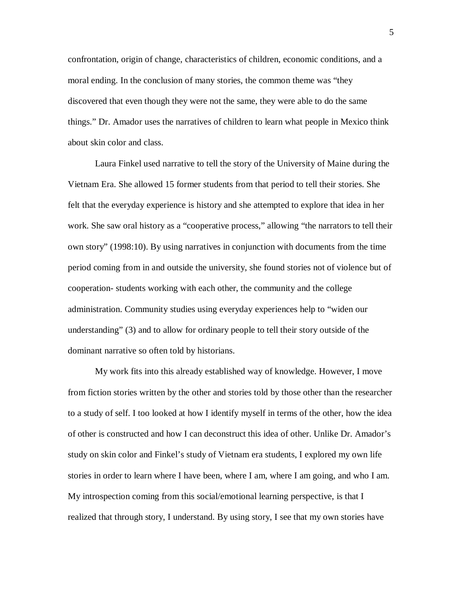confrontation, origin of change, characteristics of children, economic conditions, and a moral ending. In the conclusion of many stories, the common theme was "they discovered that even though they were not the same, they were able to do the same things." Dr. Amador uses the narratives of children to learn what people in Mexico think about skin color and class.

Laura Finkel used narrative to tell the story of the University of Maine during the Vietnam Era. She allowed 15 former students from that period to tell their stories. She felt that the everyday experience is history and she attempted to explore that idea in her work. She saw oral history as a "cooperative process," allowing "the narrators to tell their own story" (1998:10). By using narratives in conjunction with documents from the time period coming from in and outside the university, she found stories not of violence but of cooperation- students working with each other, the community and the college administration. Community studies using everyday experiences help to "widen our understanding" (3) and to allow for ordinary people to tell their story outside of the dominant narrative so often told by historians.

My work fits into this already established way of knowledge. However, I move from fiction stories written by the other and stories told by those other than the researcher to a study of self. I too looked at how I identify myself in terms of the other, how the idea of other is constructed and how I can deconstruct this idea of other. Unlike Dr. Amador's study on skin color and Finkel's study of Vietnam era students, I explored my own life stories in order to learn where I have been, where I am, where I am going, and who I am. My introspection coming from this social/emotional learning perspective, is that I realized that through story, I understand. By using story, I see that my own stories have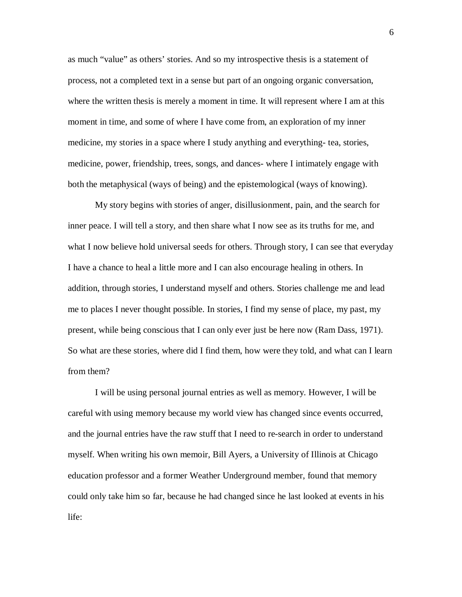as much "value" as others' stories. And so my introspective thesis is a statement of process, not a completed text in a sense but part of an ongoing organic conversation, where the written thesis is merely a moment in time. It will represent where I am at this moment in time, and some of where I have come from, an exploration of my inner medicine, my stories in a space where I study anything and everything- tea, stories, medicine, power, friendship, trees, songs, and dances- where I intimately engage with both the metaphysical (ways of being) and the epistemological (ways of knowing).

My story begins with stories of anger, disillusionment, pain, and the search for inner peace. I will tell a story, and then share what I now see as its truths for me, and what I now believe hold universal seeds for others. Through story, I can see that everyday I have a chance to heal a little more and I can also encourage healing in others. In addition, through stories, I understand myself and others. Stories challenge me and lead me to places I never thought possible. In stories, I find my sense of place, my past, my present, while being conscious that I can only ever just be here now (Ram Dass, 1971). So what are these stories, where did I find them, how were they told, and what can I learn from them?

I will be using personal journal entries as well as memory. However, I will be careful with using memory because my world view has changed since events occurred, and the journal entries have the raw stuff that I need to re-search in order to understand myself. When writing his own memoir, Bill Ayers, a University of Illinois at Chicago education professor and a former Weather Underground member, found that memory could only take him so far, because he had changed since he last looked at events in his life: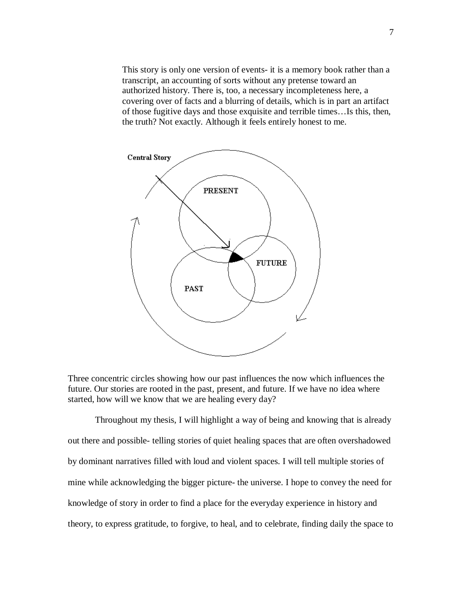This story is only one version of events- it is a memory book rather than a transcript, an accounting of sorts without any pretense toward an authorized history. There is, too, a necessary incompleteness here, a covering over of facts and a blurring of details, which is in part an artifact of those fugitive days and those exquisite and terrible times…Is this, then, the truth? Not exactly. Although it feels entirely honest to me.



Three concentric circles showing how our past influences the now which influences the future. Our stories are rooted in the past, present, and future. If we have no idea where started, how will we know that we are healing every day?

Throughout my thesis, I will highlight a way of being and knowing that is already out there and possible- telling stories of quiet healing spaces that are often overshadowed by dominant narratives filled with loud and violent spaces. I will tell multiple stories of mine while acknowledging the bigger picture- the universe. I hope to convey the need for knowledge of story in order to find a place for the everyday experience in history and theory, to express gratitude, to forgive, to heal, and to celebrate, finding daily the space to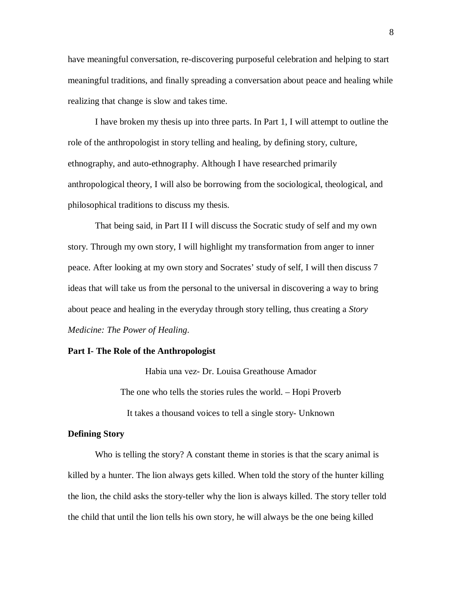have meaningful conversation, re-discovering purposeful celebration and helping to start meaningful traditions, and finally spreading a conversation about peace and healing while realizing that change is slow and takes time.

I have broken my thesis up into three parts. In Part 1, I will attempt to outline the role of the anthropologist in story telling and healing, by defining story, culture, ethnography, and auto-ethnography. Although I have researched primarily anthropological theory, I will also be borrowing from the sociological, theological, and philosophical traditions to discuss my thesis.

That being said, in Part II I will discuss the Socratic study of self and my own story. Through my own story, I will highlight my transformation from anger to inner peace. After looking at my own story and Socrates' study of self, I will then discuss 7 ideas that will take us from the personal to the universal in discovering a way to bring about peace and healing in the everyday through story telling, thus creating a *Story Medicine: The Power of Healing*.

#### **Part I- The Role of the Anthropologist**

Habỉa una vez- Dr. Louisa Greathouse Amador

The one who tells the stories rules the world. – Hopi Proverb

It takes a thousand voices to tell a single story- Unknown

#### **Defining Story**

Who is telling the story? A constant theme in stories is that the scary animal is killed by a hunter. The lion always gets killed. When told the story of the hunter killing the lion, the child asks the story-teller why the lion is always killed. The story teller told the child that until the lion tells his own story, he will always be the one being killed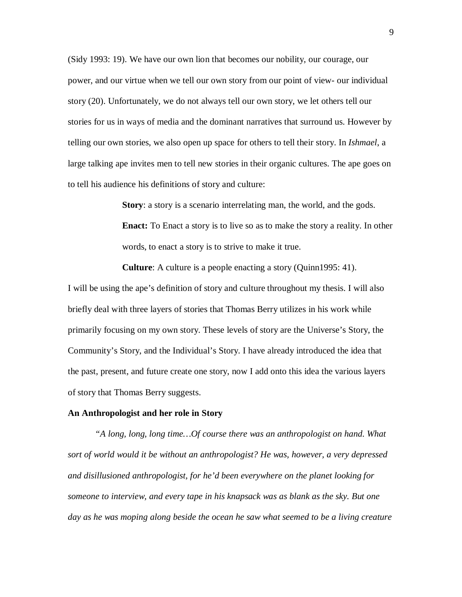(Sidy 1993: 19). We have our own lion that becomes our nobility, our courage, our power, and our virtue when we tell our own story from our point of view- our individual story (20). Unfortunately, we do not always tell our own story, we let others tell our stories for us in ways of media and the dominant narratives that surround us. However by telling our own stories, we also open up space for others to tell their story. In *Ishmael*, a large talking ape invites men to tell new stories in their organic cultures. The ape goes on to tell his audience his definitions of story and culture:

> **Story**: a story is a scenario interrelating man, the world, and the gods. **Enact:** To Enact a story is to live so as to make the story a reality. In other words, to enact a story is to strive to make it true.

**Culture**: A culture is a people enacting a story (Quinn1995: 41).

I will be using the ape's definition of story and culture throughout my thesis. I will also briefly deal with three layers of stories that Thomas Berry utilizes in his work while primarily focusing on my own story. These levels of story are the Universe's Story, the Community's Story, and the Individual's Story. I have already introduced the idea that the past, present, and future create one story, now I add onto this idea the various layers of story that Thomas Berry suggests.

#### **An Anthropologist and her role in Story**

*"A long, long, long time…Of course there was an anthropologist on hand. What sort of world would it be without an anthropologist? He was, however, a very depressed and disillusioned anthropologist, for he'd been everywhere on the planet looking for someone to interview, and every tape in his knapsack was as blank as the sky. But one*  day as he was moping along beside the ocean he saw what seemed to be a living creature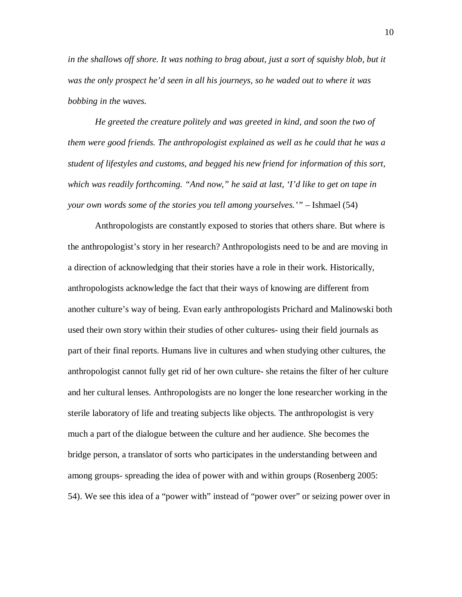in the shallows off shore. It was nothing to brag about, just a sort of squishy blob, but it *was the only prospect he'd seen in all his journeys, so he waded out to where it was bobbing in the waves.* 

*He greeted the creature politely and was greeted in kind, and soon the two of them were good friends. The anthropologist explained as well as he could that he was a student of lifestyles and customs, and begged his new friend for information of this sort, which was readily forthcoming. "And now," he said at last, 'I'd like to get on tape in your own words some of the stories you tell among yourselves.'"* – Ishmael (54)

Anthropologists are constantly exposed to stories that others share. But where is the anthropologist's story in her research? Anthropologists need to be and are moving in a direction of acknowledging that their stories have a role in their work. Historically, anthropologists acknowledge the fact that their ways of knowing are different from another culture's way of being. Evan early anthropologists Prichard and Malinowski both used their own story within their studies of other cultures- using their field journals as part of their final reports. Humans live in cultures and when studying other cultures, the anthropologist cannot fully get rid of her own culture- she retains the filter of her culture and her cultural lenses. Anthropologists are no longer the lone researcher working in the sterile laboratory of life and treating subjects like objects. The anthropologist is very much a part of the dialogue between the culture and her audience. She becomes the bridge person, a translator of sorts who participates in the understanding between and among groups- spreading the idea of power with and within groups (Rosenberg 2005: 54). We see this idea of a "power with" instead of "power over" or seizing power over in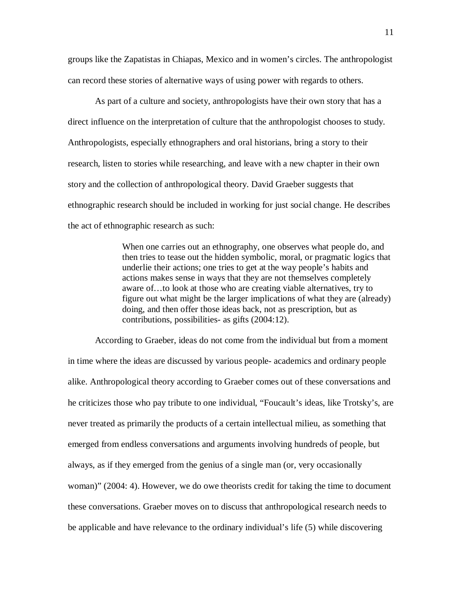groups like the Zapatistas in Chiapas, Mexico and in women's circles. The anthropologist can record these stories of alternative ways of using power with regards to others.

As part of a culture and society, anthropologists have their own story that has a direct influence on the interpretation of culture that the anthropologist chooses to study. Anthropologists, especially ethnographers and oral historians, bring a story to their research, listen to stories while researching, and leave with a new chapter in their own story and the collection of anthropological theory. David Graeber suggests that ethnographic research should be included in working for just social change. He describes the act of ethnographic research as such:

> When one carries out an ethnography, one observes what people do, and then tries to tease out the hidden symbolic, moral, or pragmatic logics that underlie their actions; one tries to get at the way people's habits and actions makes sense in ways that they are not themselves completely aware of…to look at those who are creating viable alternatives, try to figure out what might be the larger implications of what they are (already) doing, and then offer those ideas back, not as prescription, but as contributions, possibilities- as gifts (2004:12).

According to Graeber, ideas do not come from the individual but from a moment in time where the ideas are discussed by various people- academics and ordinary people alike. Anthropological theory according to Graeber comes out of these conversations and he criticizes those who pay tribute to one individual, "Foucault's ideas, like Trotsky's, are never treated as primarily the products of a certain intellectual milieu, as something that emerged from endless conversations and arguments involving hundreds of people, but always, as if they emerged from the genius of a single man (or, very occasionally woman)" (2004: 4). However, we do owe theorists credit for taking the time to document these conversations. Graeber moves on to discuss that anthropological research needs to be applicable and have relevance to the ordinary individual's life (5) while discovering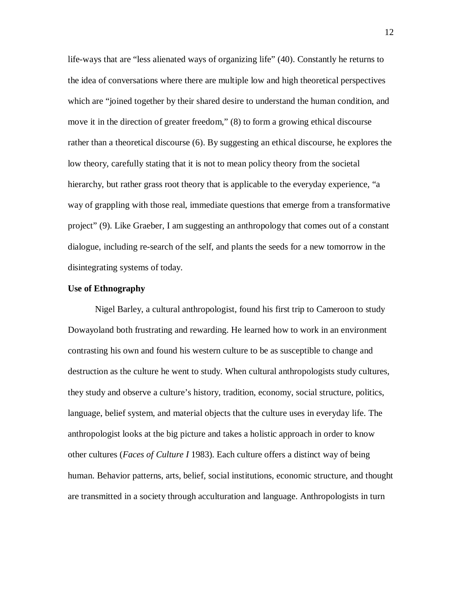life-ways that are "less alienated ways of organizing life" (40). Constantly he returns to the idea of conversations where there are multiple low and high theoretical perspectives which are "joined together by their shared desire to understand the human condition, and move it in the direction of greater freedom," (8) to form a growing ethical discourse rather than a theoretical discourse (6). By suggesting an ethical discourse, he explores the low theory, carefully stating that it is not to mean policy theory from the societal hierarchy, but rather grass root theory that is applicable to the everyday experience, "a way of grappling with those real, immediate questions that emerge from a transformative project" (9). Like Graeber, I am suggesting an anthropology that comes out of a constant dialogue, including re-search of the self, and plants the seeds for a new tomorrow in the disintegrating systems of today.

#### **Use of Ethnography**

Nigel Barley, a cultural anthropologist, found his first trip to Cameroon to study Dowayoland both frustrating and rewarding. He learned how to work in an environment contrasting his own and found his western culture to be as susceptible to change and destruction as the culture he went to study. When cultural anthropologists study cultures, they study and observe a culture's history, tradition, economy, social structure, politics, language, belief system, and material objects that the culture uses in everyday life. The anthropologist looks at the big picture and takes a holistic approach in order to know other cultures (*Faces of Culture I* 1983). Each culture offers a distinct way of being human. Behavior patterns, arts, belief, social institutions, economic structure, and thought are transmitted in a society through acculturation and language. Anthropologists in turn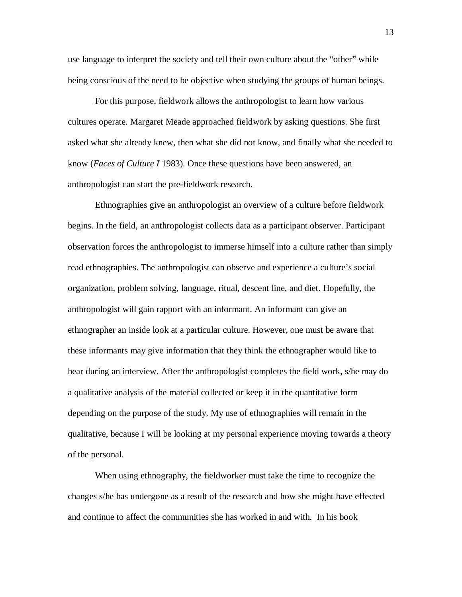use language to interpret the society and tell their own culture about the "other" while being conscious of the need to be objective when studying the groups of human beings.

For this purpose, fieldwork allows the anthropologist to learn how various cultures operate. Margaret Meade approached fieldwork by asking questions. She first asked what she already knew, then what she did not know, and finally what she needed to know (*Faces of Culture I* 1983). Once these questions have been answered, an anthropologist can start the pre-fieldwork research.

Ethnographies give an anthropologist an overview of a culture before fieldwork begins. In the field, an anthropologist collects data as a participant observer. Participant observation forces the anthropologist to immerse himself into a culture rather than simply read ethnographies. The anthropologist can observe and experience a culture's social organization, problem solving, language, ritual, descent line, and diet. Hopefully, the anthropologist will gain rapport with an informant. An informant can give an ethnographer an inside look at a particular culture. However, one must be aware that these informants may give information that they think the ethnographer would like to hear during an interview. After the anthropologist completes the field work, s/he may do a qualitative analysis of the material collected or keep it in the quantitative form depending on the purpose of the study. My use of ethnographies will remain in the qualitative, because I will be looking at my personal experience moving towards a theory of the personal.

When using ethnography, the fieldworker must take the time to recognize the changes s/he has undergone as a result of the research and how she might have effected and continue to affect the communities she has worked in and with. In his book

13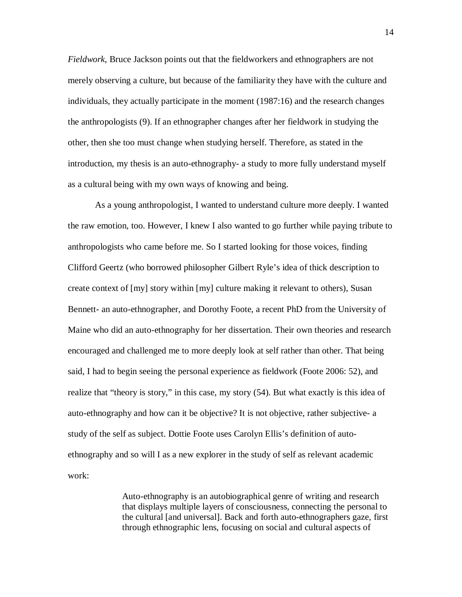*Fieldwork*, Bruce Jackson points out that the fieldworkers and ethnographers are not merely observing a culture, but because of the familiarity they have with the culture and individuals, they actually participate in the moment (1987:16) and the research changes the anthropologists (9). If an ethnographer changes after her fieldwork in studying the other, then she too must change when studying herself. Therefore, as stated in the introduction, my thesis is an auto-ethnography- a study to more fully understand myself as a cultural being with my own ways of knowing and being.

As a young anthropologist, I wanted to understand culture more deeply. I wanted the raw emotion, too. However, I knew I also wanted to go further while paying tribute to anthropologists who came before me. So I started looking for those voices, finding Clifford Geertz (who borrowed philosopher Gilbert Ryle's idea of thick description to create context of [my] story within [my] culture making it relevant to others), Susan Bennett- an auto-ethnographer, and Dorothy Foote, a recent PhD from the University of Maine who did an auto-ethnography for her dissertation. Their own theories and research encouraged and challenged me to more deeply look at self rather than other. That being said, I had to begin seeing the personal experience as fieldwork (Foote 2006: 52), and realize that "theory is story," in this case, my story (54). But what exactly is this idea of auto-ethnography and how can it be objective? It is not objective, rather subjective- a study of the self as subject. Dottie Foote uses Carolyn Ellis's definition of autoethnography and so will I as a new explorer in the study of self as relevant academic work:

> Auto-ethnography is an autobiographical genre of writing and research that displays multiple layers of consciousness, connecting the personal to the cultural [and universal]. Back and forth auto-ethnographers gaze, first through ethnographic lens, focusing on social and cultural aspects of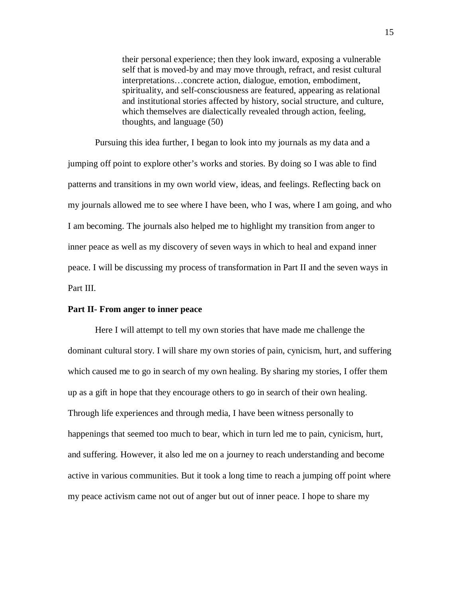their personal experience; then they look inward, exposing a vulnerable self that is moved-by and may move through, refract, and resist cultural interpretations…concrete action, dialogue, emotion, embodiment, spirituality, and self-consciousness are featured, appearing as relational and institutional stories affected by history, social structure, and culture, which themselves are dialectically revealed through action, feeling, thoughts, and language (50)

Pursuing this idea further, I began to look into my journals as my data and a jumping off point to explore other's works and stories. By doing so I was able to find patterns and transitions in my own world view, ideas, and feelings. Reflecting back on my journals allowed me to see where I have been, who I was, where I am going, and who I am becoming. The journals also helped me to highlight my transition from anger to inner peace as well as my discovery of seven ways in which to heal and expand inner peace. I will be discussing my process of transformation in Part II and the seven ways in Part III.

#### **Part II- From anger to inner peace**

Here I will attempt to tell my own stories that have made me challenge the dominant cultural story. I will share my own stories of pain, cynicism, hurt, and suffering which caused me to go in search of my own healing. By sharing my stories, I offer them up as a gift in hope that they encourage others to go in search of their own healing. Through life experiences and through media, I have been witness personally to happenings that seemed too much to bear, which in turn led me to pain, cynicism, hurt, and suffering. However, it also led me on a journey to reach understanding and become active in various communities. But it took a long time to reach a jumping off point where my peace activism came not out of anger but out of inner peace. I hope to share my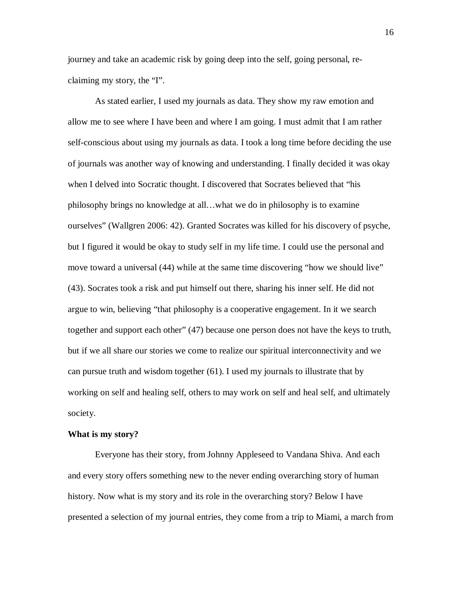journey and take an academic risk by going deep into the self, going personal, reclaiming my story, the "I".

As stated earlier, I used my journals as data. They show my raw emotion and allow me to see where I have been and where I am going. I must admit that I am rather self-conscious about using my journals as data. I took a long time before deciding the use of journals was another way of knowing and understanding. I finally decided it was okay when I delved into Socratic thought. I discovered that Socrates believed that "his philosophy brings no knowledge at all…what we do in philosophy is to examine ourselves" (Wallgren 2006: 42). Granted Socrates was killed for his discovery of psyche, but I figured it would be okay to study self in my life time. I could use the personal and move toward a universal (44) while at the same time discovering "how we should live" (43). Socrates took a risk and put himself out there, sharing his inner self. He did not argue to win, believing "that philosophy is a cooperative engagement. In it we search together and support each other" (47) because one person does not have the keys to truth, but if we all share our stories we come to realize our spiritual interconnectivity and we can pursue truth and wisdom together (61). I used my journals to illustrate that by working on self and healing self, others to may work on self and heal self, and ultimately society.

#### **What is my story?**

Everyone has their story, from Johnny Appleseed to Vandana Shiva. And each and every story offers something new to the never ending overarching story of human history. Now what is my story and its role in the overarching story? Below I have presented a selection of my journal entries, they come from a trip to Miami, a march from

16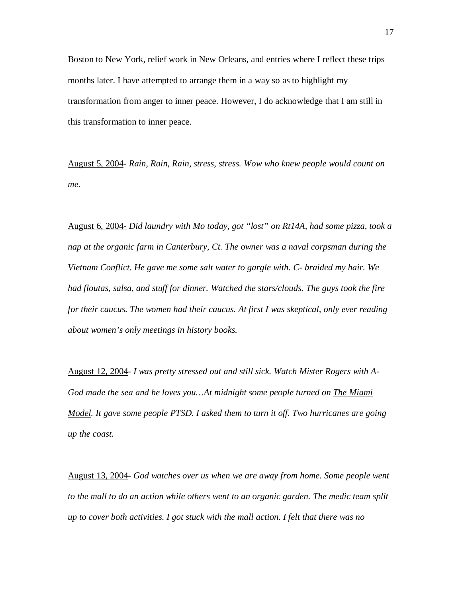Boston to New York, relief work in New Orleans, and entries where I reflect these trips months later. I have attempted to arrange them in a way so as to highlight my transformation from anger to inner peace. However, I do acknowledge that I am still in this transformation to inner peace.

August 5, 2004- *Rain, Rain, Rain, stress, stress. Wow who knew people would count on me.* 

August 6, 2004- *Did laundry with Mo today, got "lost" on Rt14A, had some pizza, took a nap at the organic farm in Canterbury, Ct. The owner was a naval corpsman during the Vietnam Conflict. He gave me some salt water to gargle with. C- braided my hair. We had floutas, salsa, and stuff for dinner. Watched the stars/clouds. The guys took the fire for their caucus. The women had their caucus. At first I was skeptical, only ever reading about women's only meetings in history books.*

August 12, 2004- *I was pretty stressed out and still sick. Watch Mister Rogers with A-God made the sea and he loves you…At midnight some people turned on The Miami Model. It gave some people PTSD. I asked them to turn it off. Two hurricanes are going up the coast.*

August 13, 2004- *God watches over us when we are away from home. Some people went to the mall to do an action while others went to an organic garden. The medic team split up to cover both activities. I got stuck with the mall action. I felt that there was no*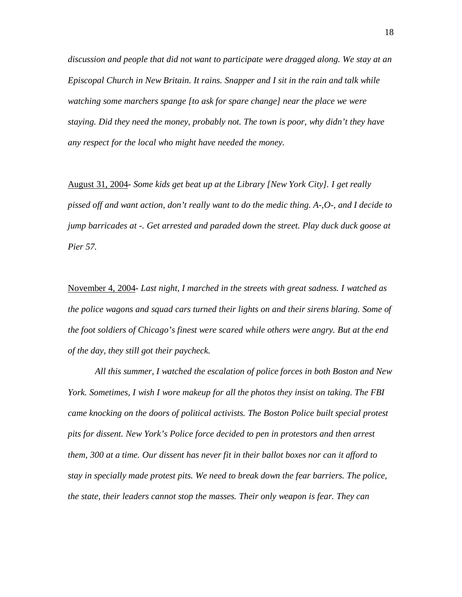*discussion and people that did not want to participate were dragged along. We stay at an Episcopal Church in New Britain. It rains. Snapper and I sit in the rain and talk while watching some marchers spange [to ask for spare change] near the place we were staying. Did they need the money, probably not. The town is poor, why didn't they have any respect for the local who might have needed the money.*

August 31, 2004- *Some kids get beat up at the Library [New York City]. I get really pissed off and want action, don't really want to do the medic thing. A-,O-, and I decide to jump barricades at -. Get arrested and paraded down the street. Play duck duck goose at Pier 57.*

November 4, 2004- *Last night, I marched in the streets with great sadness. I watched as the police wagons and squad cars turned their lights on and their sirens blaring. Some of the foot soldiers of Chicago's finest were scared while others were angry. But at the end of the day, they still got their paycheck.* 

*All this summer, I watched the escalation of police forces in both Boston and New York. Sometimes, I wish I wore makeup for all the photos they insist on taking. The FBI came knocking on the doors of political activists. The Boston Police built special protest pits for dissent. New York's Police force decided to pen in protestors and then arrest them, 300 at a time. Our dissent has never fit in their ballot boxes nor can it afford to stay in specially made protest pits. We need to break down the fear barriers. The police, the state, their leaders cannot stop the masses. Their only weapon is fear. They can*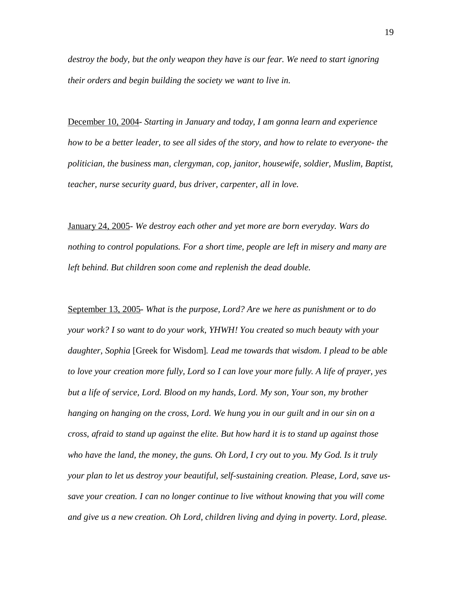*destroy the body, but the only weapon they have is our fear. We need to start ignoring their orders and begin building the society we want to live in.*

December 10, 2004- *Starting in January and today, I am gonna learn and experience how to be a better leader, to see all sides of the story, and how to relate to everyone- the politician, the business man, clergyman, cop, janitor, housewife, soldier, Muslim, Baptist, teacher, nurse security guard, bus driver, carpenter, all in love.*

January 24, 2005- *We destroy each other and yet more are born everyday. Wars do nothing to control populations. For a short time, people are left in misery and many are left behind. But children soon come and replenish the dead double.*

September 13, 2005- *What is the purpose, Lord? Are we here as punishment or to do your work? I so want to do your work, YHWH! You created so much beauty with your daughter, Sophia* [Greek for Wisdom]*. Lead me towards that wisdom. I plead to be able to love your creation more fully, Lord so I can love your more fully. A life of prayer, yes but a life of service, Lord. Blood on my hands, Lord. My son, Your son, my brother hanging on hanging on the cross, Lord. We hung you in our guilt and in our sin on a cross, afraid to stand up against the elite. But how hard it is to stand up against those who have the land, the money, the guns. Oh Lord, I cry out to you. My God. Is it truly your plan to let us destroy your beautiful, self-sustaining creation. Please, Lord, save ussave your creation. I can no longer continue to live without knowing that you will come and give us a new creation. Oh Lord, children living and dying in poverty. Lord, please.*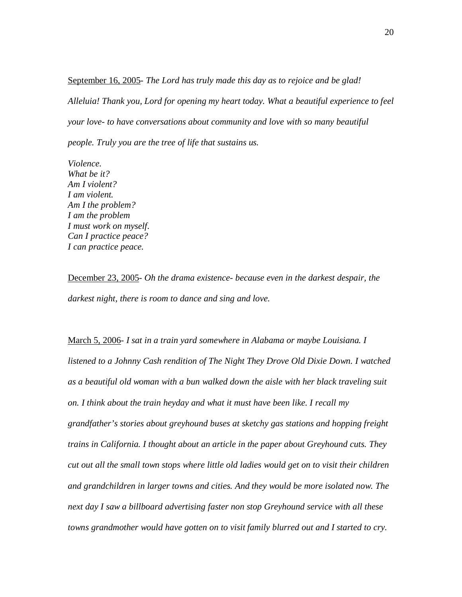September 16, 2005- *The Lord has truly made this day as to rejoice and be glad! Alleluia! Thank you, Lord for opening my heart today. What a beautiful experience to feel your love- to have conversations about community and love with so many beautiful people. Truly you are the tree of life that sustains us.*

*Violence. What be it? Am I violent? I am violent. Am I the problem? I am the problem I must work on myself. Can I practice peace? I can practice peace.*

December 23, 2005- *Oh the drama existence- because even in the darkest despair, the darkest night, there is room to dance and sing and love.*

March 5, 2006- *I sat in a train yard somewhere in Alabama or maybe Louisiana. I listened to a Johnny Cash rendition of The Night They Drove Old Dixie Down. I watched as a beautiful old woman with a bun walked down the aisle with her black traveling suit on. I think about the train heyday and what it must have been like. I recall my grandfather's stories about greyhound buses at sketchy gas stations and hopping freight trains in California. I thought about an article in the paper about Greyhound cuts. They cut out all the small town stops where little old ladies would get on to visit their children and grandchildren in larger towns and cities. And they would be more isolated now. The next day I saw a billboard advertising faster non stop Greyhound service with all these towns grandmother would have gotten on to visit family blurred out and I started to cry.*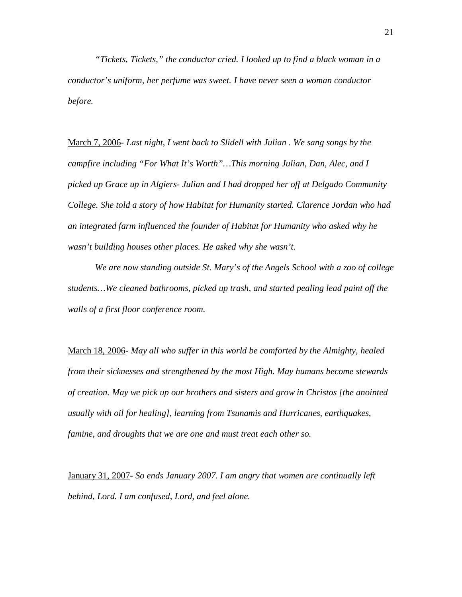*"Tickets, Tickets," the conductor cried. I looked up to find a black woman in a conductor's uniform, her perfume was sweet. I have never seen a woman conductor before.*

March 7, 2006- *Last night, I went back to Slidell with Julian . We sang songs by the campfire including "For What It's Worth"…This morning Julian, Dan, Alec, and I picked up Grace up in Algiers- Julian and I had dropped her off at Delgado Community College. She told a story of how Habitat for Humanity started. Clarence Jordan who had an integrated farm influenced the founder of Habitat for Humanity who asked why he wasn't building houses other places. He asked why she wasn't.*

*We are now standing outside St. Mary's of the Angels School with a zoo of college students…We cleaned bathrooms, picked up trash, and started pealing lead paint off the walls of a first floor conference room.*

March 18, 2006- *May all who suffer in this world be comforted by the Almighty, healed from their sicknesses and strengthened by the most High. May humans become stewards of creation. May we pick up our brothers and sisters and grow in Christos [the anointed usually with oil for healing], learning from Tsunamis and Hurricanes, earthquakes, famine, and droughts that we are one and must treat each other so.*

January 31, 2007- *So ends January 2007. I am angry that women are continually left behind, Lord. I am confused, Lord, and feel alone.*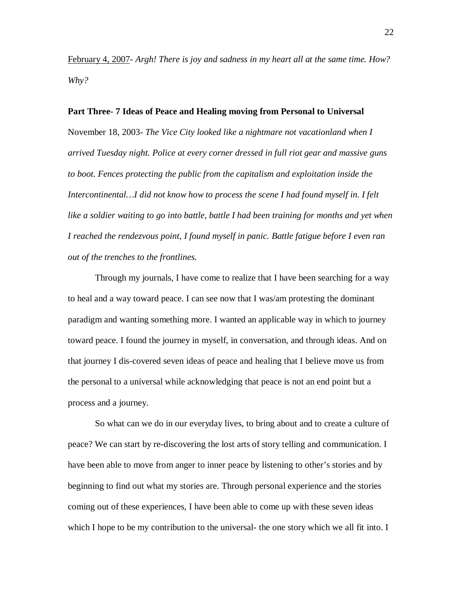February 4, 2007- *Argh! There is joy and sadness in my heart all at the same time. How? Why?*

#### **Part Three- 7 Ideas of Peace and Healing moving from Personal to Universal**

November 18, 2003- *The Vice City looked like a nightmare not vacationland when I arrived Tuesday night. Police at every corner dressed in full riot gear and massive guns to boot. Fences protecting the public from the capitalism and exploitation inside the Intercontinental…I did not know how to process the scene I had found myself in. I felt like a soldier waiting to go into battle, battle I had been training for months and yet when I reached the rendezvous point, I found myself in panic. Battle fatigue before I even ran out of the trenches to the frontlines.*

Through my journals, I have come to realize that I have been searching for a way to heal and a way toward peace. I can see now that I was/am protesting the dominant paradigm and wanting something more. I wanted an applicable way in which to journey toward peace. I found the journey in myself, in conversation, and through ideas. And on that journey I dis-covered seven ideas of peace and healing that I believe move us from the personal to a universal while acknowledging that peace is not an end point but a process and a journey.

So what can we do in our everyday lives, to bring about and to create a culture of peace? We can start by re-discovering the lost arts of story telling and communication. I have been able to move from anger to inner peace by listening to other's stories and by beginning to find out what my stories are. Through personal experience and the stories coming out of these experiences, I have been able to come up with these seven ideas which I hope to be my contribution to the universal- the one story which we all fit into. I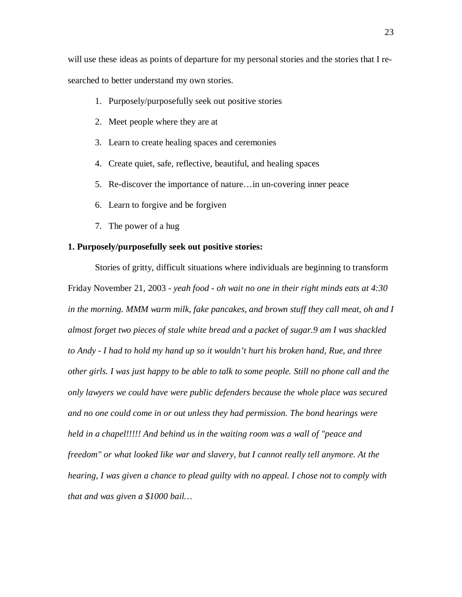will use these ideas as points of departure for my personal stories and the stories that I researched to better understand my own stories.

- 1. Purposely/purposefully seek out positive stories
- 2. Meet people where they are at
- 3. Learn to create healing spaces and ceremonies
- 4. Create quiet, safe, reflective, beautiful, and healing spaces
- 5. Re-discover the importance of nature…in un-covering inner peace
- 6. Learn to forgive and be forgiven
- 7. The power of a hug

#### **1. Purposely/purposefully seek out positive stories:**

Stories of gritty, difficult situations where individuals are beginning to transform Friday November 21, 2003 - *yeah food - oh wait no one in their right minds eats at 4:30 in the morning. MMM warm milk, fake pancakes, and brown stuff they call meat, oh and I almost forget two pieces of stale white bread and a packet of sugar.9 am I was shackled to Andy - I had to hold my hand up so it wouldn't hurt his broken hand, Rue, and three other girls. I was just happy to be able to talk to some people. Still no phone call and the only lawyers we could have were public defenders because the whole place was secured and no one could come in or out unless they had permission. The bond hearings were held in a chapel!!!!! And behind us in the waiting room was a wall of "peace and freedom" or what looked like war and slavery, but I cannot really tell anymore. At the hearing, I was given a chance to plead guilty with no appeal. I chose not to comply with that and was given a \$1000 bail…*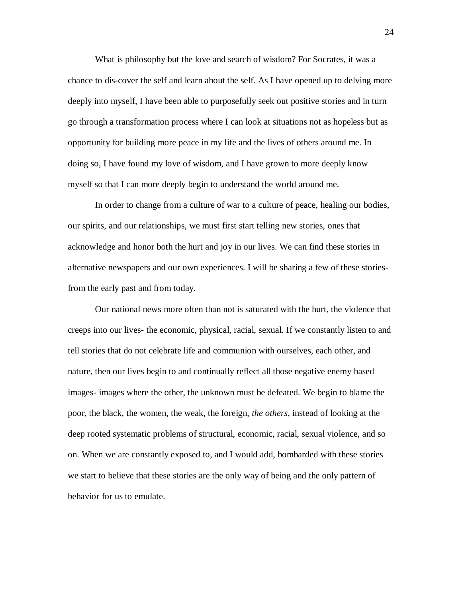What is philosophy but the love and search of wisdom? For Socrates, it was a chance to dis-cover the self and learn about the self. As I have opened up to delving more deeply into myself, I have been able to purposefully seek out positive stories and in turn go through a transformation process where I can look at situations not as hopeless but as opportunity for building more peace in my life and the lives of others around me. In doing so, I have found my love of wisdom, and I have grown to more deeply know myself so that I can more deeply begin to understand the world around me.

In order to change from a culture of war to a culture of peace, healing our bodies, our spirits, and our relationships, we must first start telling new stories, ones that acknowledge and honor both the hurt and joy in our lives. We can find these stories in alternative newspapers and our own experiences. I will be sharing a few of these storiesfrom the early past and from today.

Our national news more often than not is saturated with the hurt, the violence that creeps into our lives- the economic, physical, racial, sexual. If we constantly listen to and tell stories that do not celebrate life and communion with ourselves, each other, and nature, then our lives begin to and continually reflect all those negative enemy based images- images where the other, the unknown must be defeated. We begin to blame the poor, the black, the women, the weak, the foreign, *the others*, instead of looking at the deep rooted systematic problems of structural, economic, racial, sexual violence, and so on. When we are constantly exposed to, and I would add, bombarded with these stories we start to believe that these stories are the only way of being and the only pattern of behavior for us to emulate.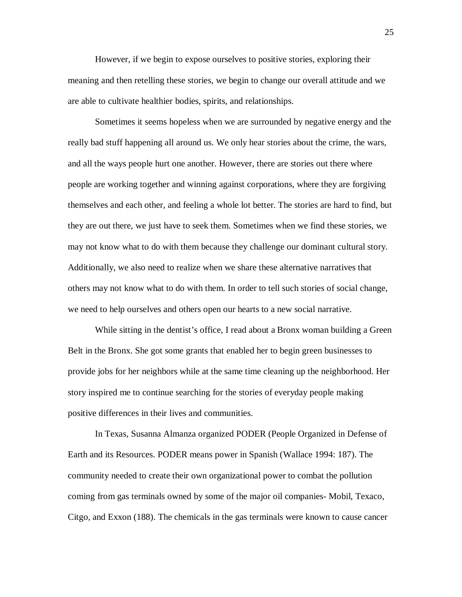However, if we begin to expose ourselves to positive stories, exploring their meaning and then retelling these stories, we begin to change our overall attitude and we are able to cultivate healthier bodies, spirits, and relationships.

Sometimes it seems hopeless when we are surrounded by negative energy and the really bad stuff happening all around us. We only hear stories about the crime, the wars, and all the ways people hurt one another. However, there are stories out there where people are working together and winning against corporations, where they are forgiving themselves and each other, and feeling a whole lot better. The stories are hard to find, but they are out there, we just have to seek them. Sometimes when we find these stories, we may not know what to do with them because they challenge our dominant cultural story. Additionally, we also need to realize when we share these alternative narratives that others may not know what to do with them. In order to tell such stories of social change, we need to help ourselves and others open our hearts to a new social narrative.

While sitting in the dentist's office, I read about a Bronx woman building a Green Belt in the Bronx. She got some grants that enabled her to begin green businesses to provide jobs for her neighbors while at the same time cleaning up the neighborhood. Her story inspired me to continue searching for the stories of everyday people making positive differences in their lives and communities.

In Texas, Susanna Almanza organized PODER (People Organized in Defense of Earth and its Resources. PODER means power in Spanish (Wallace 1994: 187). The community needed to create their own organizational power to combat the pollution coming from gas terminals owned by some of the major oil companies- Mobil, Texaco, Citgo, and Exxon (188). The chemicals in the gas terminals were known to cause cancer

25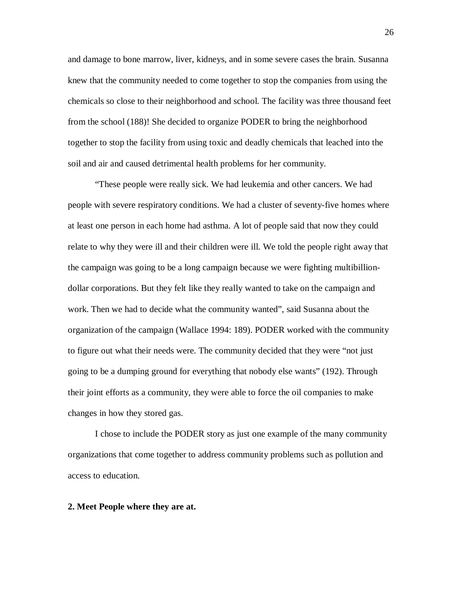and damage to bone marrow, liver, kidneys, and in some severe cases the brain. Susanna knew that the community needed to come together to stop the companies from using the chemicals so close to their neighborhood and school. The facility was three thousand feet from the school (188)! She decided to organize PODER to bring the neighborhood together to stop the facility from using toxic and deadly chemicals that leached into the soil and air and caused detrimental health problems for her community.

"These people were really sick. We had leukemia and other cancers. We had people with severe respiratory conditions. We had a cluster of seventy-five homes where at least one person in each home had asthma. A lot of people said that now they could relate to why they were ill and their children were ill. We told the people right away that the campaign was going to be a long campaign because we were fighting multibilliondollar corporations. But they felt like they really wanted to take on the campaign and work. Then we had to decide what the community wanted", said Susanna about the organization of the campaign (Wallace 1994: 189). PODER worked with the community to figure out what their needs were. The community decided that they were "not just going to be a dumping ground for everything that nobody else wants" (192). Through their joint efforts as a community, they were able to force the oil companies to make changes in how they stored gas.

I chose to include the PODER story as just one example of the many community organizations that come together to address community problems such as pollution and access to education.

#### **2. Meet People where they are at.**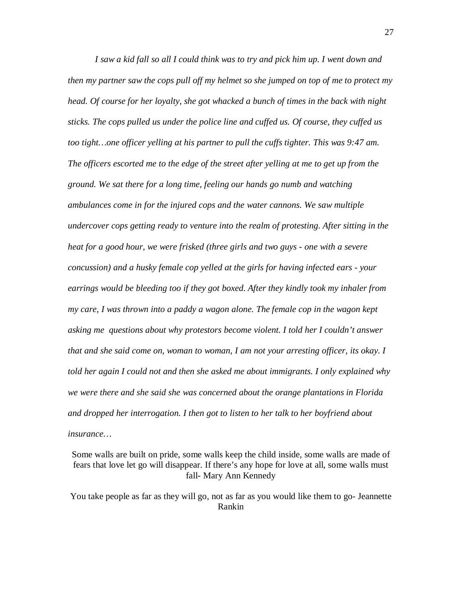*I saw a kid fall so all I could think was to try and pick him up. I went down and then my partner saw the cops pull off my helmet so she jumped on top of me to protect my head. Of course for her loyalty, she got whacked a bunch of times in the back with night sticks. The cops pulled us under the police line and cuffed us. Of course, they cuffed us too tight…one officer yelling at his partner to pull the cuffs tighter. This was 9:47 am. The officers escorted me to the edge of the street after yelling at me to get up from the ground. We sat there for a long time, feeling our hands go numb and watching ambulances come in for the injured cops and the water cannons. We saw multiple undercover cops getting ready to venture into the realm of protesting. After sitting in the heat for a good hour, we were frisked (three girls and two guys - one with a severe concussion) and a husky female cop yelled at the girls for having infected ears - your earrings would be bleeding too if they got boxed. After they kindly took my inhaler from my care, I was thrown into a paddy a wagon alone. The female cop in the wagon kept asking me questions about why protestors become violent. I told her I couldn't answer that and she said come on, woman to woman, I am not your arresting officer, its okay. I told her again I could not and then she asked me about immigrants. I only explained why we were there and she said she was concerned about the orange plantations in Florida and dropped her interrogation. I then got to listen to her talk to her boyfriend about insurance…*

Some walls are built on pride, some walls keep the child inside, some walls are made of fears that love let go will disappear. If there's any hope for love at all, some walls must fall- Mary Ann Kennedy

You take people as far as they will go, not as far as you would like them to go- Jeannette Rankin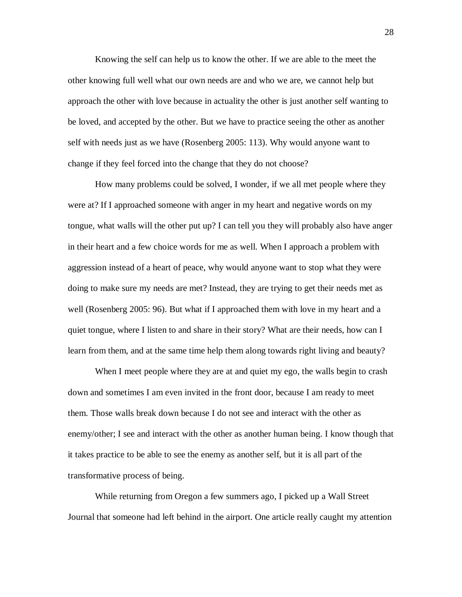Knowing the self can help us to know the other. If we are able to the meet the other knowing full well what our own needs are and who we are, we cannot help but approach the other with love because in actuality the other is just another self wanting to be loved, and accepted by the other. But we have to practice seeing the other as another self with needs just as we have (Rosenberg 2005: 113). Why would anyone want to change if they feel forced into the change that they do not choose?

How many problems could be solved, I wonder, if we all met people where they were at? If I approached someone with anger in my heart and negative words on my tongue, what walls will the other put up? I can tell you they will probably also have anger in their heart and a few choice words for me as well. When I approach a problem with aggression instead of a heart of peace, why would anyone want to stop what they were doing to make sure my needs are met? Instead, they are trying to get their needs met as well (Rosenberg 2005: 96). But what if I approached them with love in my heart and a quiet tongue, where I listen to and share in their story? What are their needs, how can I learn from them, and at the same time help them along towards right living and beauty?

When I meet people where they are at and quiet my ego, the walls begin to crash down and sometimes I am even invited in the front door, because I am ready to meet them. Those walls break down because I do not see and interact with the other as enemy/other; I see and interact with the other as another human being. I know though that it takes practice to be able to see the enemy as another self, but it is all part of the transformative process of being.

While returning from Oregon a few summers ago, I picked up a Wall Street Journal that someone had left behind in the airport. One article really caught my attention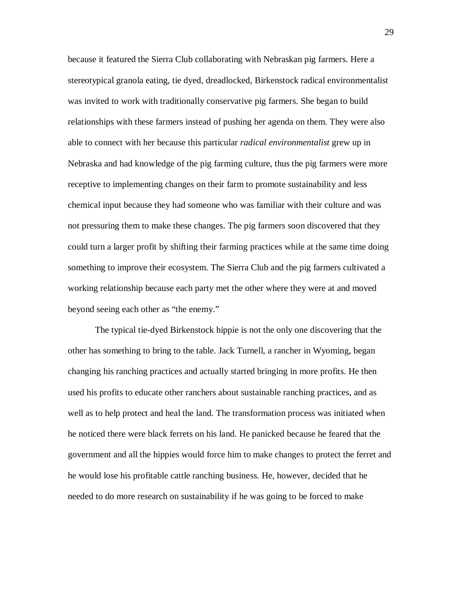because it featured the Sierra Club collaborating with Nebraskan pig farmers. Here a stereotypical granola eating, tie dyed, dreadlocked, Birkenstock radical environmentalist was invited to work with traditionally conservative pig farmers. She began to build relationships with these farmers instead of pushing her agenda on them. They were also able to connect with her because this particular *radical environmentalist* grew up in Nebraska and had knowledge of the pig farming culture, thus the pig farmers were more receptive to implementing changes on their farm to promote sustainability and less chemical input because they had someone who was familiar with their culture and was not pressuring them to make these changes. The pig farmers soon discovered that they could turn a larger profit by shifting their farming practices while at the same time doing something to improve their ecosystem. The Sierra Club and the pig farmers cultivated a working relationship because each party met the other where they were at and moved beyond seeing each other as "the enemy."

The typical tie-dyed Birkenstock hippie is not the only one discovering that the other has something to bring to the table. Jack Turnell, a rancher in Wyoming, began changing his ranching practices and actually started bringing in more profits. He then used his profits to educate other ranchers about sustainable ranching practices, and as well as to help protect and heal the land. The transformation process was initiated when he noticed there were black ferrets on his land. He panicked because he feared that the government and all the hippies would force him to make changes to protect the ferret and he would lose his profitable cattle ranching business. He, however, decided that he needed to do more research on sustainability if he was going to be forced to make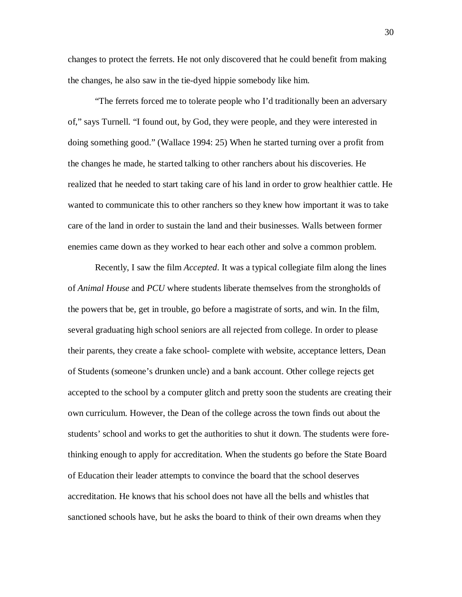changes to protect the ferrets. He not only discovered that he could benefit from making the changes, he also saw in the tie-dyed hippie somebody like him.

"The ferrets forced me to tolerate people who I'd traditionally been an adversary of," says Turnell. "I found out, by God, they were people, and they were interested in doing something good." (Wallace 1994: 25) When he started turning over a profit from the changes he made, he started talking to other ranchers about his discoveries. He realized that he needed to start taking care of his land in order to grow healthier cattle. He wanted to communicate this to other ranchers so they knew how important it was to take care of the land in order to sustain the land and their businesses. Walls between former enemies came down as they worked to hear each other and solve a common problem.

Recently, I saw the film *Accepted*. It was a typical collegiate film along the lines of *Animal House* and *PCU* where students liberate themselves from the strongholds of the powers that be, get in trouble, go before a magistrate of sorts, and win. In the film, several graduating high school seniors are all rejected from college. In order to please their parents, they create a fake school- complete with website, acceptance letters, Dean of Students (someone's drunken uncle) and a bank account. Other college rejects get accepted to the school by a computer glitch and pretty soon the students are creating their own curriculum. However, the Dean of the college across the town finds out about the students' school and works to get the authorities to shut it down. The students were forethinking enough to apply for accreditation. When the students go before the State Board of Education their leader attempts to convince the board that the school deserves accreditation. He knows that his school does not have all the bells and whistles that sanctioned schools have, but he asks the board to think of their own dreams when they

30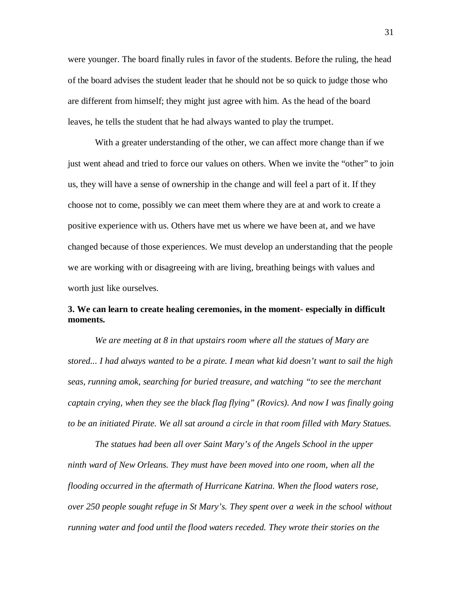were younger. The board finally rules in favor of the students. Before the ruling, the head of the board advises the student leader that he should not be so quick to judge those who are different from himself; they might just agree with him. As the head of the board leaves, he tells the student that he had always wanted to play the trumpet.

With a greater understanding of the other, we can affect more change than if we just went ahead and tried to force our values on others. When we invite the "other" to join us, they will have a sense of ownership in the change and will feel a part of it. If they choose not to come, possibly we can meet them where they are at and work to create a positive experience with us. Others have met us where we have been at, and we have changed because of those experiences. We must develop an understanding that the people we are working with or disagreeing with are living, breathing beings with values and worth just like ourselves.

# **3. We can learn to create healing ceremonies, in the moment- especially in difficult moments.**

*We are meeting at 8 in that upstairs room where all the statues of Mary are stored... I had always wanted to be a pirate. I mean what kid doesn't want to sail the high seas, running amok, searching for buried treasure, and watching "to see the merchant captain crying, when they see the black flag flying" (Rovics). And now I was finally going to be an initiated Pirate. We all sat around a circle in that room filled with Mary Statues.* 

*The statues had been all over Saint Mary's of the Angels School in the upper ninth ward of New Orleans. They must have been moved into one room, when all the flooding occurred in the aftermath of Hurricane Katrina. When the flood waters rose, over 250 people sought refuge in St Mary's. They spent over a week in the school without running water and food until the flood waters receded. They wrote their stories on the*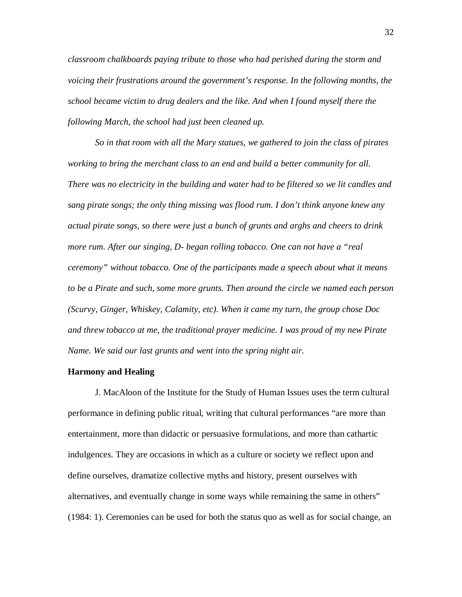*classroom chalkboards paying tribute to those who had perished during the storm and voicing their frustrations around the government's response. In the following months, the school became victim to drug dealers and the like. And when I found myself there the following March, the school had just been cleaned up.*

*So in that room with all the Mary statues, we gathered to join the class of pirates working to bring the merchant class to an end and build a better community for all. There was no electricity in the building and water had to be filtered so we lit candles and sang pirate songs; the only thing missing was flood rum. I don't think anyone knew any actual pirate songs, so there were just a bunch of grunts and arghs and cheers to drink more rum. After our singing, D- began rolling tobacco. One can not have a "real ceremony" without tobacco. One of the participants made a speech about what it means to be a Pirate and such, some more grunts. Then around the circle we named each person (Scurvy, Ginger, Whiskey, Calamity, etc). When it came my turn, the group chose Doc and threw tobacco at me, the traditional prayer medicine. I was proud of my new Pirate Name. We said our last grunts and went into the spring night air.*

### **Harmony and Healing**

J. MacAloon of the Institute for the Study of Human Issues uses the term cultural performance in defining public ritual, writing that cultural performances "are more than entertainment, more than didactic or persuasive formulations, and more than cathartic indulgences. They are occasions in which as a culture or society we reflect upon and define ourselves, dramatize collective myths and history, present ourselves with alternatives, and eventually change in some ways while remaining the same in others" (1984: 1). Ceremonies can be used for both the status quo as well as for social change, an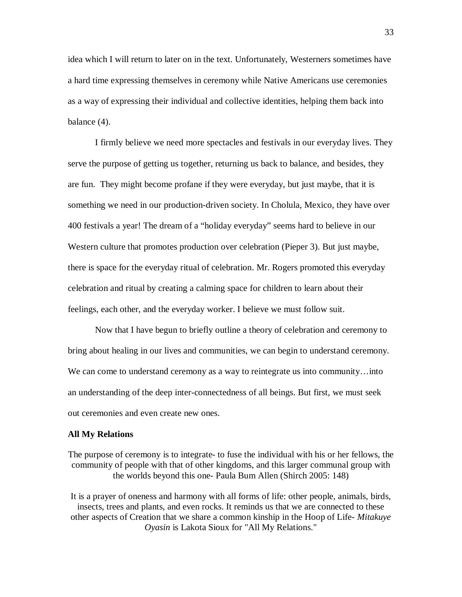idea which I will return to later on in the text. Unfortunately, Westerners sometimes have a hard time expressing themselves in ceremony while Native Americans use ceremonies as a way of expressing their individual and collective identities, helping them back into balance (4).

I firmly believe we need more spectacles and festivals in our everyday lives. They serve the purpose of getting us together, returning us back to balance, and besides, they are fun. They might become profane if they were everyday, but just maybe, that it is something we need in our production-driven society. In Cholula, Mexico, they have over 400 festivals a year! The dream of a "holiday everyday" seems hard to believe in our Western culture that promotes production over celebration (Pieper 3). But just maybe, there is space for the everyday ritual of celebration. Mr. Rogers promoted this everyday celebration and ritual by creating a calming space for children to learn about their feelings, each other, and the everyday worker. I believe we must follow suit.

Now that I have begun to briefly outline a theory of celebration and ceremony to bring about healing in our lives and communities, we can begin to understand ceremony. We can come to understand ceremony as a way to reintegrate us into community...into an understanding of the deep inter-connectedness of all beings. But first, we must seek out ceremonies and even create new ones.

#### **All My Relations**

The purpose of ceremony is to integrate- to fuse the individual with his or her fellows, the community of people with that of other kingdoms, and this larger communal group with the worlds beyond this one- Paula Bum Allen (Shirch 2005: 148)

It is a prayer of oneness and harmony with all forms of life: other people, animals, birds, insects, trees and plants, and even rocks. It reminds us that we are connected to these other aspects of Creation that we share a common kinship in the Hoop of Life- *Mitakuye Oyasin* is Lakota Sioux for "All My Relations."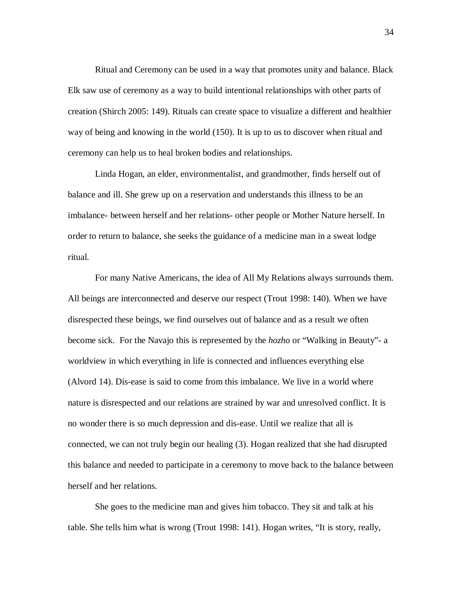Ritual and Ceremony can be used in a way that promotes unity and balance. Black Elk saw use of ceremony as a way to build intentional relationships with other parts of creation (Shirch 2005: 149). Rituals can create space to visualize a different and healthier way of being and knowing in the world (150). It is up to us to discover when ritual and ceremony can help us to heal broken bodies and relationships.

Linda Hogan, an elder, environmentalist, and grandmother, finds herself out of balance and ill. She grew up on a reservation and understands this illness to be an imbalance- between herself and her relations- other people or Mother Nature herself. In order to return to balance, she seeks the guidance of a medicine man in a sweat lodge ritual.

For many Native Americans, the idea of All My Relations always surrounds them. All beings are interconnected and deserve our respect (Trout 1998: 140). When we have disrespected these beings, we find ourselves out of balance and as a result we often become sick. For the Navajo this is represented by the *hozho* or "Walking in Beauty"- a worldview in which everything in life is connected and influences everything else (Alvord 14). Dis-ease is said to come from this imbalance. We live in a world where nature is disrespected and our relations are strained by war and unresolved conflict. It is no wonder there is so much depression and dis-ease. Until we realize that all is connected, we can not truly begin our healing (3). Hogan realized that she had disrupted this balance and needed to participate in a ceremony to move back to the balance between herself and her relations.

She goes to the medicine man and gives him tobacco. They sit and talk at his table. She tells him what is wrong (Trout 1998: 141). Hogan writes, "It is story, really,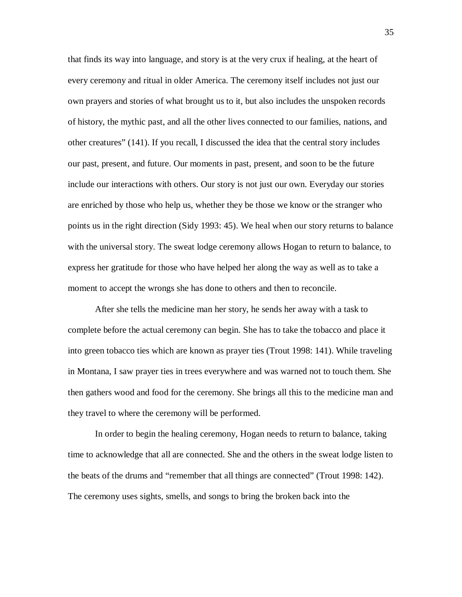that finds its way into language, and story is at the very crux if healing, at the heart of every ceremony and ritual in older America. The ceremony itself includes not just our own prayers and stories of what brought us to it, but also includes the unspoken records of history, the mythic past, and all the other lives connected to our families, nations, and other creatures" (141). If you recall, I discussed the idea that the central story includes our past, present, and future. Our moments in past, present, and soon to be the future include our interactions with others. Our story is not just our own. Everyday our stories are enriched by those who help us, whether they be those we know or the stranger who points us in the right direction (Sidy 1993: 45). We heal when our story returns to balance with the universal story. The sweat lodge ceremony allows Hogan to return to balance, to express her gratitude for those who have helped her along the way as well as to take a moment to accept the wrongs she has done to others and then to reconcile.

After she tells the medicine man her story, he sends her away with a task to complete before the actual ceremony can begin. She has to take the tobacco and place it into green tobacco ties which are known as prayer ties (Trout 1998: 141). While traveling in Montana, I saw prayer ties in trees everywhere and was warned not to touch them. She then gathers wood and food for the ceremony. She brings all this to the medicine man and they travel to where the ceremony will be performed.

In order to begin the healing ceremony, Hogan needs to return to balance, taking time to acknowledge that all are connected. She and the others in the sweat lodge listen to the beats of the drums and "remember that all things are connected" (Trout 1998: 142). The ceremony uses sights, smells, and songs to bring the broken back into the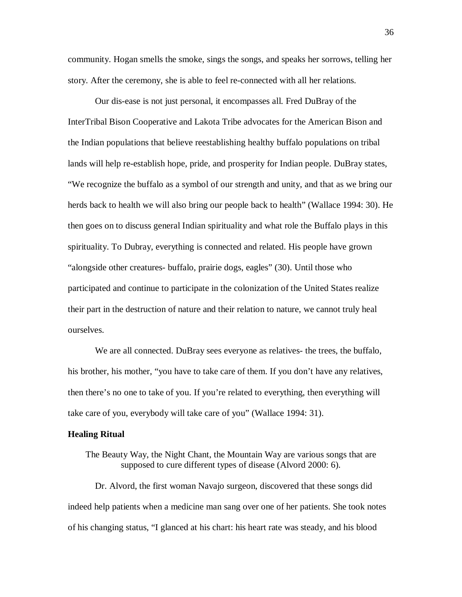community. Hogan smells the smoke, sings the songs, and speaks her sorrows, telling her story. After the ceremony, she is able to feel re-connected with all her relations.

Our dis-ease is not just personal, it encompasses all. Fred DuBray of the InterTribal Bison Cooperative and Lakota Tribe advocates for the American Bison and the Indian populations that believe reestablishing healthy buffalo populations on tribal lands will help re-establish hope, pride, and prosperity for Indian people. DuBray states, "We recognize the buffalo as a symbol of our strength and unity, and that as we bring our herds back to health we will also bring our people back to health" (Wallace 1994: 30). He then goes on to discuss general Indian spirituality and what role the Buffalo plays in this spirituality. To Dubray, everything is connected and related. His people have grown "alongside other creatures- buffalo, prairie dogs, eagles" (30). Until those who participated and continue to participate in the colonization of the United States realize their part in the destruction of nature and their relation to nature, we cannot truly heal ourselves.

We are all connected. DuBray sees everyone as relatives- the trees, the buffalo, his brother, his mother, "you have to take care of them. If you don't have any relatives, then there's no one to take of you. If you're related to everything, then everything will take care of you, everybody will take care of you" (Wallace 1994: 31).

#### **Healing Ritual**

The Beauty Way, the Night Chant, the Mountain Way are various songs that are supposed to cure different types of disease (Alvord 2000: 6).

Dr. Alvord, the first woman Navajo surgeon, discovered that these songs did indeed help patients when a medicine man sang over one of her patients. She took notes of his changing status, "I glanced at his chart: his heart rate was steady, and his blood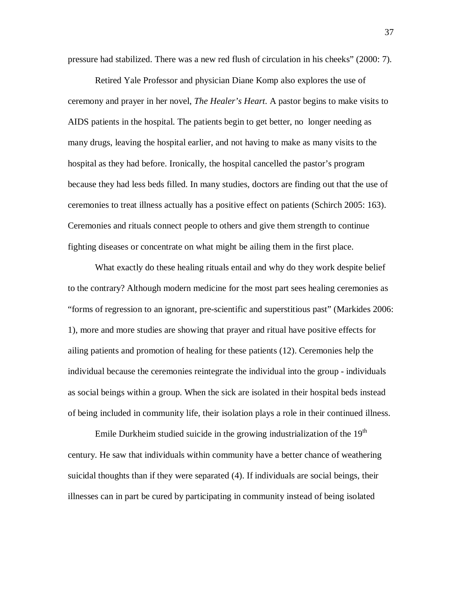pressure had stabilized. There was a new red flush of circulation in his cheeks" (2000: 7).

Retired Yale Professor and physician Diane Komp also explores the use of ceremony and prayer in her novel, *The Healer's Heart*. A pastor begins to make visits to AIDS patients in the hospital. The patients begin to get better, no longer needing as many drugs, leaving the hospital earlier, and not having to make as many visits to the hospital as they had before. Ironically, the hospital cancelled the pastor's program because they had less beds filled. In many studies, doctors are finding out that the use of ceremonies to treat illness actually has a positive effect on patients (Schirch 2005: 163). Ceremonies and rituals connect people to others and give them strength to continue fighting diseases or concentrate on what might be ailing them in the first place.

What exactly do these healing rituals entail and why do they work despite belief to the contrary? Although modern medicine for the most part sees healing ceremonies as "forms of regression to an ignorant, pre-scientific and superstitious past" (Markides 2006: 1), more and more studies are showing that prayer and ritual have positive effects for ailing patients and promotion of healing for these patients (12). Ceremonies help the individual because the ceremonies reintegrate the individual into the group - individuals as social beings within a group. When the sick are isolated in their hospital beds instead of being included in community life, their isolation plays a role in their continued illness.

Emile Durkheim studied suicide in the growing industrialization of the  $19<sup>th</sup>$ century. He saw that individuals within community have a better chance of weathering suicidal thoughts than if they were separated (4). If individuals are social beings, their illnesses can in part be cured by participating in community instead of being isolated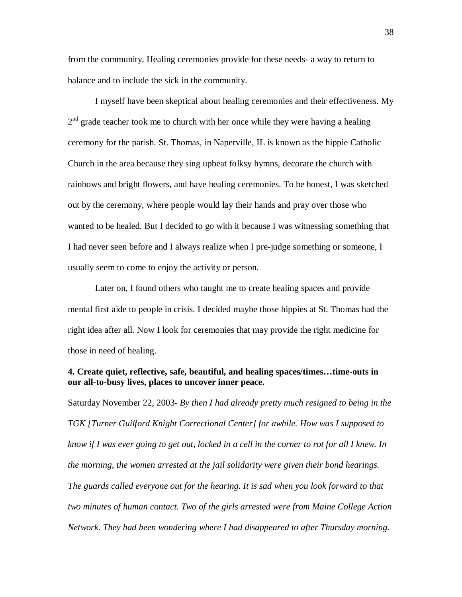from the community. Healing ceremonies provide for these needs- a way to return to balance and to include the sick in the community.

I myself have been skeptical about healing ceremonies and their effectiveness. My  $2<sup>nd</sup>$  grade teacher took me to church with her once while they were having a healing ceremony for the parish. St. Thomas, in Naperville, IL is known as the hippie Catholic Church in the area because they sing upbeat folksy hymns, decorate the church with rainbows and bright flowers, and have healing ceremonies. To be honest, I was sketched out by the ceremony, where people would lay their hands and pray over those who wanted to be healed. But I decided to go with it because I was witnessing something that I had never seen before and I always realize when I pre-judge something or someone, I usually seem to come to enjoy the activity or person.

Later on, I found others who taught me to create healing spaces and provide mental first aide to people in crisis. I decided maybe those hippies at St. Thomas had the right idea after all. Now I look for ceremonies that may provide the right medicine for those in need of healing.

# **4. Create quiet, reflective, safe, beautiful, and healing spaces/times…time-outs in our all-to-busy lives, places to uncover inner peace.**

Saturday November 22, 2003- *By then I had already pretty much resigned to being in the TGK [Turner Guilford Knight Correctional Center] for awhile. How was I supposed to know if I was ever going to get out, locked in a cell in the corner to rot for all I knew. In the morning, the women arrested at the jail solidarity were given their bond hearings. The guards called everyone out for the hearing. It is sad when you look forward to that two minutes of human contact. Two of the girls arrested were from Maine College Action Network. They had been wondering where I had disappeared to after Thursday morning.*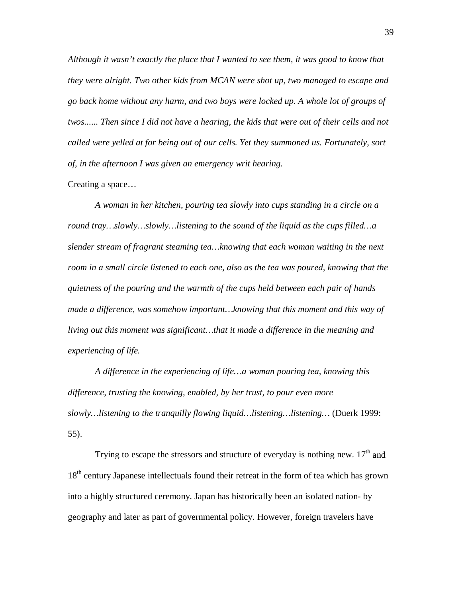*Although it wasn't exactly the place that I wanted to see them, it was good to know that they were alright. Two other kids from MCAN were shot up, two managed to escape and go back home without any harm, and two boys were locked up. A whole lot of groups of twos...... Then since I did not have a hearing, the kids that were out of their cells and not called were yelled at for being out of our cells. Yet they summoned us. Fortunately, sort of, in the afternoon I was given an emergency writ hearing.*

### Creating a space…

*A woman in her kitchen, pouring tea slowly into cups standing in a circle on a round tray…slowly…slowly…listening to the sound of the liquid as the cups filled…a slender stream of fragrant steaming tea…knowing that each woman waiting in the next*  room in a small circle listened to each one, also as the tea was poured, knowing that the *quietness of the pouring and the warmth of the cups held between each pair of hands made a difference, was somehow important…knowing that this moment and this way of living out this moment was significant…that it made a difference in the meaning and experiencing of life.*

*A difference in the experiencing of life…a woman pouring tea, knowing this difference, trusting the knowing, enabled, by her trust, to pour even more slowly…listening to the tranquilly flowing liquid…listening…listening…* (Duerk 1999: 55).

Trying to escape the stressors and structure of everyday is nothing new.  $17<sup>th</sup>$  and 18<sup>th</sup> century Japanese intellectuals found their retreat in the form of tea which has grown into a highly structured ceremony. Japan has historically been an isolated nation- by geography and later as part of governmental policy. However, foreign travelers have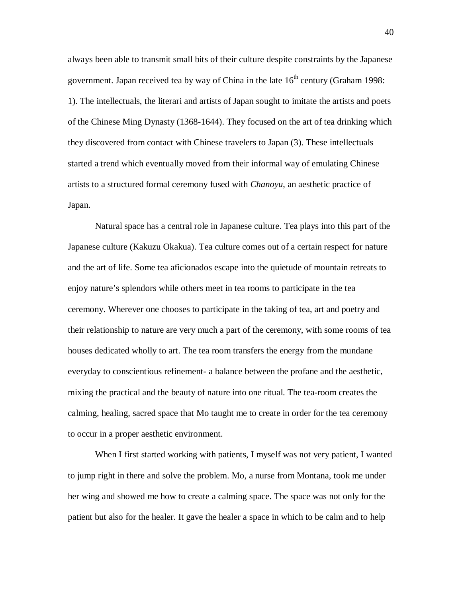always been able to transmit small bits of their culture despite constraints by the Japanese government. Japan received tea by way of China in the late  $16<sup>th</sup>$  century (Graham 1998: 1). The intellectuals, the literari and artists of Japan sought to imitate the artists and poets of the Chinese Ming Dynasty (1368-1644). They focused on the art of tea drinking which they discovered from contact with Chinese travelers to Japan (3). These intellectuals started a trend which eventually moved from their informal way of emulating Chinese artists to a structured formal ceremony fused with *Chanoyu*, an aesthetic practice of Japan.

Natural space has a central role in Japanese culture. Tea plays into this part of the Japanese culture (Kakuzu Okakua). Tea culture comes out of a certain respect for nature and the art of life. Some tea aficionados escape into the quietude of mountain retreats to enjoy nature's splendors while others meet in tea rooms to participate in the tea ceremony. Wherever one chooses to participate in the taking of tea, art and poetry and their relationship to nature are very much a part of the ceremony, with some rooms of tea houses dedicated wholly to art. The tea room transfers the energy from the mundane everyday to conscientious refinement- a balance between the profane and the aesthetic, mixing the practical and the beauty of nature into one ritual. The tea-room creates the calming, healing, sacred space that Mo taught me to create in order for the tea ceremony to occur in a proper aesthetic environment.

When I first started working with patients, I myself was not very patient, I wanted to jump right in there and solve the problem. Mo, a nurse from Montana, took me under her wing and showed me how to create a calming space. The space was not only for the patient but also for the healer. It gave the healer a space in which to be calm and to help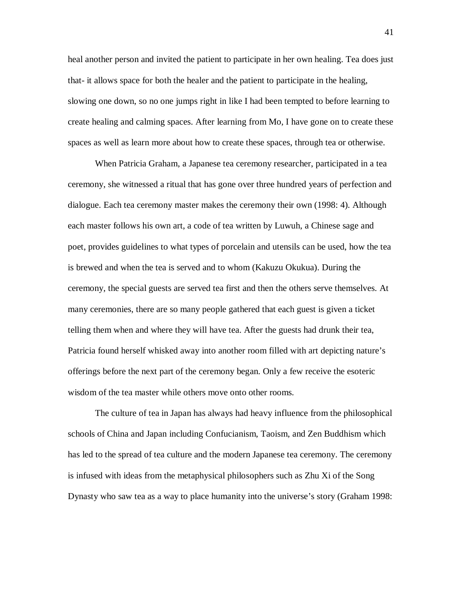heal another person and invited the patient to participate in her own healing. Tea does just that- it allows space for both the healer and the patient to participate in the healing, slowing one down, so no one jumps right in like I had been tempted to before learning to create healing and calming spaces. After learning from Mo, I have gone on to create these spaces as well as learn more about how to create these spaces, through tea or otherwise.

When Patricia Graham, a Japanese tea ceremony researcher, participated in a tea ceremony, she witnessed a ritual that has gone over three hundred years of perfection and dialogue. Each tea ceremony master makes the ceremony their own (1998: 4). Although each master follows his own art, a code of tea written by Luwuh, a Chinese sage and poet, provides guidelines to what types of porcelain and utensils can be used, how the tea is brewed and when the tea is served and to whom (Kakuzu Okukua). During the ceremony, the special guests are served tea first and then the others serve themselves. At many ceremonies, there are so many people gathered that each guest is given a ticket telling them when and where they will have tea. After the guests had drunk their tea, Patricia found herself whisked away into another room filled with art depicting nature's offerings before the next part of the ceremony began. Only a few receive the esoteric wisdom of the tea master while others move onto other rooms.

The culture of tea in Japan has always had heavy influence from the philosophical schools of China and Japan including Confucianism, Taoism, and Zen Buddhism which has led to the spread of tea culture and the modern Japanese tea ceremony. The ceremony is infused with ideas from the metaphysical philosophers such as Zhu Xi of the Song Dynasty who saw tea as a way to place humanity into the universe's story (Graham 1998: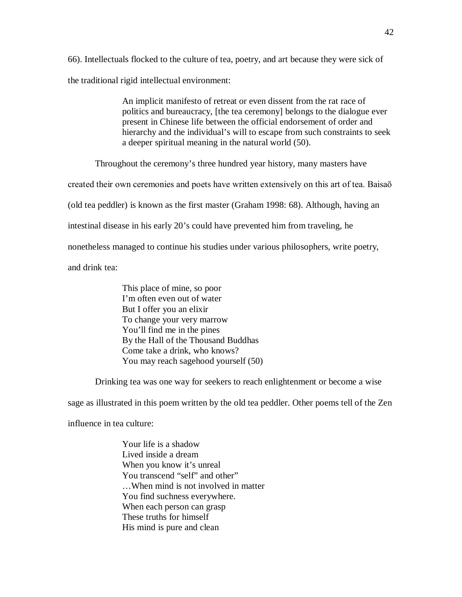66). Intellectuals flocked to the culture of tea, poetry, and art because they were sick of the traditional rigid intellectual environment:

> An implicit manifesto of retreat or even dissent from the rat race of politics and bureaucracy, [the tea ceremony] belongs to the dialogue ever present in Chinese life between the official endorsement of order and hierarchy and the individual's will to escape from such constraints to seek a deeper spiritual meaning in the natural world (50).

Throughout the ceremony's three hundred year history, many masters have

created their own ceremonies and poets have written extensively on this art of tea. Baisaō

(old tea peddler) is known as the first master (Graham 1998: 68). Although, having an

intestinal disease in his early 20's could have prevented him from traveling, he

nonetheless managed to continue his studies under various philosophers, write poetry,

and drink tea:

This place of mine, so poor I'm often even out of water But I offer you an elixir To change your very marrow You'll find me in the pines By the Hall of the Thousand Buddhas Come take a drink, who knows? You may reach sagehood yourself (50)

Drinking tea was one way for seekers to reach enlightenment or become a wise

sage as illustrated in this poem written by the old tea peddler. Other poems tell of the Zen

influence in tea culture:

Your life is a shadow Lived inside a dream When you know it's unreal You transcend "self" and other" …When mind is not involved in matter You find suchness everywhere. When each person can grasp These truths for himself His mind is pure and clean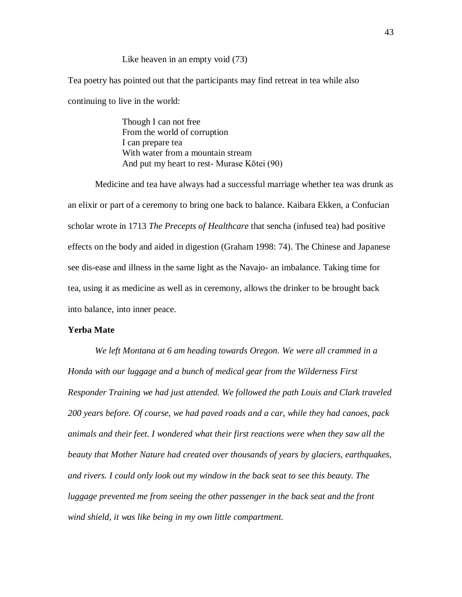### Like heaven in an empty void (73)

Tea poetry has pointed out that the participants may find retreat in tea while also continuing to live in the world:

> Though I can not free From the world of corruption I can prepare tea With water from a mountain stream And put my heart to rest- Murase Kōtei (90)

Medicine and tea have always had a successful marriage whether tea was drunk as an elixir or part of a ceremony to bring one back to balance. Kaibara Ekken, a Confucian scholar wrote in 1713 *The Precepts of Healthcare* that sencha (infused tea) had positive effects on the body and aided in digestion (Graham 1998: 74). The Chinese and Japanese see dis-ease and illness in the same light as the Navajo- an imbalance. Taking time for tea, using it as medicine as well as in ceremony, allows the drinker to be brought back into balance, into inner peace.

#### **Yerba Mate**

*We left Montana at 6 am heading towards Oregon. We were all crammed in a Honda with our luggage and a bunch of medical gear from the Wilderness First Responder Training we had just attended. We followed the path Louis and Clark traveled 200 years before. Of course, we had paved roads and a car, while they had canoes, pack animals and their feet. I wondered what their first reactions were when they saw all the beauty that Mother Nature had created over thousands of years by glaciers, earthquakes, and rivers. I could only look out my window in the back seat to see this beauty. The luggage prevented me from seeing the other passenger in the back seat and the front wind shield, it was like being in my own little compartment.*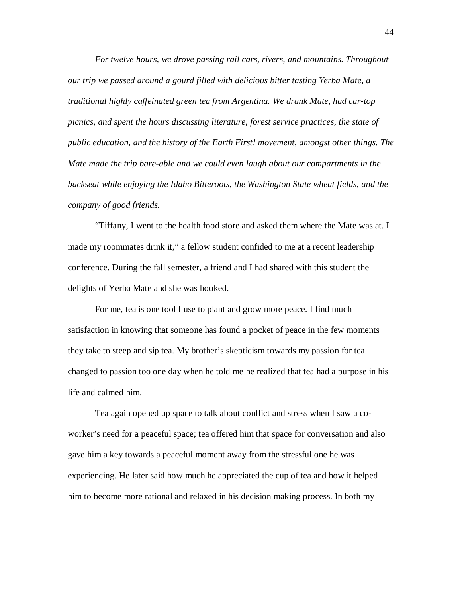*For twelve hours, we drove passing rail cars, rivers, and mountains. Throughout our trip we passed around a gourd filled with delicious bitter tasting Yerba Mate, a traditional highly caffeinated green tea from Argentina. We drank Mate, had car-top picnics, and spent the hours discussing literature, forest service practices, the state of public education, and the history of the Earth First! movement, amongst other things. The Mate made the trip bare-able and we could even laugh about our compartments in the backseat while enjoying the Idaho Bitteroots, the Washington State wheat fields, and the company of good friends.*

"Tiffany, I went to the health food store and asked them where the Mate was at. I made my roommates drink it," a fellow student confided to me at a recent leadership conference. During the fall semester, a friend and I had shared with this student the delights of Yerba Mate and she was hooked.

For me, tea is one tool I use to plant and grow more peace. I find much satisfaction in knowing that someone has found a pocket of peace in the few moments they take to steep and sip tea. My brother's skepticism towards my passion for tea changed to passion too one day when he told me he realized that tea had a purpose in his life and calmed him.

Tea again opened up space to talk about conflict and stress when I saw a coworker's need for a peaceful space; tea offered him that space for conversation and also gave him a key towards a peaceful moment away from the stressful one he was experiencing. He later said how much he appreciated the cup of tea and how it helped him to become more rational and relaxed in his decision making process. In both my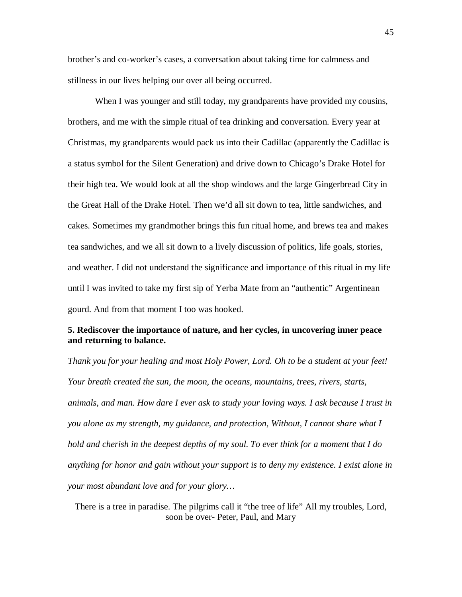brother's and co-worker's cases, a conversation about taking time for calmness and stillness in our lives helping our over all being occurred.

When I was younger and still today, my grandparents have provided my cousins, brothers, and me with the simple ritual of tea drinking and conversation. Every year at Christmas, my grandparents would pack us into their Cadillac (apparently the Cadillac is a status symbol for the Silent Generation) and drive down to Chicago's Drake Hotel for their high tea. We would look at all the shop windows and the large Gingerbread City in the Great Hall of the Drake Hotel. Then we'd all sit down to tea, little sandwiches, and cakes. Sometimes my grandmother brings this fun ritual home, and brews tea and makes tea sandwiches, and we all sit down to a lively discussion of politics, life goals, stories, and weather. I did not understand the significance and importance of this ritual in my life until I was invited to take my first sip of Yerba Mate from an "authentic" Argentinean gourd. And from that moment I too was hooked.

# **5. Rediscover the importance of nature, and her cycles, in uncovering inner peace and returning to balance.**

*Thank you for your healing and most Holy Power, Lord. Oh to be a student at your feet! Your breath created the sun, the moon, the oceans, mountains, trees, rivers, starts, animals, and man. How dare I ever ask to study your loving ways. I ask because I trust in you alone as my strength, my guidance, and protection, Without, I cannot share what I hold and cherish in the deepest depths of my soul. To ever think for a moment that I do anything for honor and gain without your support is to deny my existence. I exist alone in your most abundant love and for your glory…*

There is a tree in paradise. The pilgrims call it "the tree of life" All my troubles, Lord, soon be over- Peter, Paul, and Mary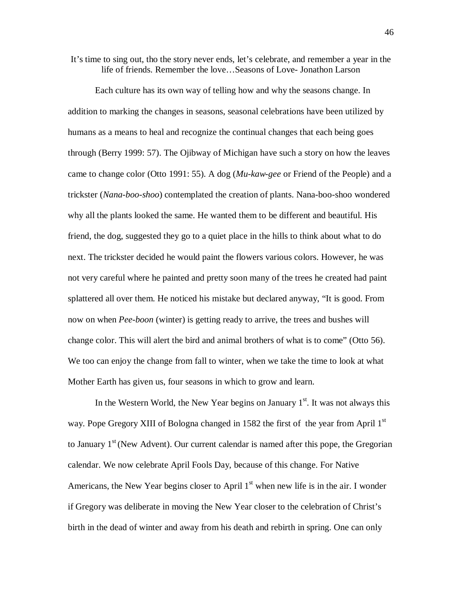It's time to sing out, tho the story never ends, let's celebrate, and remember a year in the life of friends. Remember the love…Seasons of Love- Jonathon Larson

Each culture has its own way of telling how and why the seasons change. In addition to marking the changes in seasons, seasonal celebrations have been utilized by humans as a means to heal and recognize the continual changes that each being goes through (Berry 1999: 57). The Ojibway of Michigan have such a story on how the leaves came to change color (Otto 1991: 55). A dog (*Mu-kaw-gee* or Friend of the People) and a trickster (*Nana-boo-shoo*) contemplated the creation of plants. Nana-boo-shoo wondered why all the plants looked the same. He wanted them to be different and beautiful. His friend, the dog, suggested they go to a quiet place in the hills to think about what to do next. The trickster decided he would paint the flowers various colors. However, he was not very careful where he painted and pretty soon many of the trees he created had paint splattered all over them. He noticed his mistake but declared anyway, "It is good. From now on when *Pee-boon* (winter) is getting ready to arrive, the trees and bushes will change color. This will alert the bird and animal brothers of what is to come" (Otto 56). We too can enjoy the change from fall to winter, when we take the time to look at what Mother Earth has given us, four seasons in which to grow and learn.

In the Western World, the New Year begins on January  $1<sup>st</sup>$ . It was not always this way. Pope Gregory XIII of Bologna changed in 1582 the first of the year from April 1<sup>st</sup> to January  $1<sup>st</sup>$  (New Advent). Our current calendar is named after this pope, the Gregorian calendar. We now celebrate April Fools Day, because of this change. For Native Americans, the New Year begins closer to April  $1<sup>st</sup>$  when new life is in the air. I wonder if Gregory was deliberate in moving the New Year closer to the celebration of Christ's birth in the dead of winter and away from his death and rebirth in spring. One can only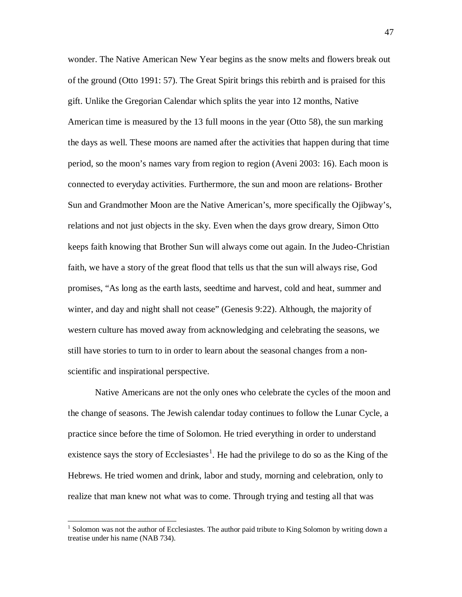wonder. The Native American New Year begins as the snow melts and flowers break out of the ground (Otto 1991: 57). The Great Spirit brings this rebirth and is praised for this gift. Unlike the Gregorian Calendar which splits the year into 12 months, Native American time is measured by the 13 full moons in the year (Otto 58), the sun marking the days as well. These moons are named after the activities that happen during that time period, so the moon's names vary from region to region (Aveni 2003: 16). Each moon is connected to everyday activities. Furthermore, the sun and moon are relations- Brother Sun and Grandmother Moon are the Native American's, more specifically the Ojibway's, relations and not just objects in the sky. Even when the days grow dreary, Simon Otto keeps faith knowing that Brother Sun will always come out again. In the Judeo-Christian faith, we have a story of the great flood that tells us that the sun will always rise, God promises, "As long as the earth lasts, seedtime and harvest, cold and heat, summer and winter, and day and night shall not cease" (Genesis 9:22). Although, the majority of western culture has moved away from acknowledging and celebrating the seasons, we still have stories to turn to in order to learn about the seasonal changes from a nonscientific and inspirational perspective.

Native Americans are not the only ones who celebrate the cycles of the moon and the change of seasons. The Jewish calendar today continues to follow the Lunar Cycle, a practice since before the time of Solomon. He tried everything in order to understand existence says the story of Ecclesiastes<sup>[1](#page-51-0)</sup>. He had the privilege to do so as the King of the Hebrews. He tried women and drink, labor and study, morning and celebration, only to realize that man knew not what was to come. Through trying and testing all that was

<span id="page-51-0"></span> $1$  Solomon was not the author of Ecclesiastes. The author paid tribute to King Solomon by writing down a treatise under his name (NAB 734).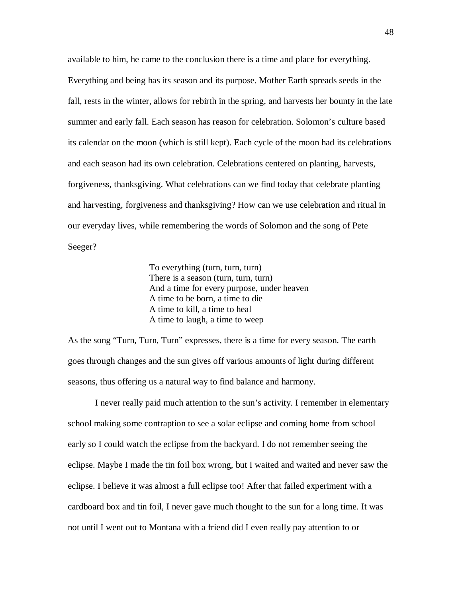available to him, he came to the conclusion there is a time and place for everything. Everything and being has its season and its purpose. Mother Earth spreads seeds in the fall, rests in the winter, allows for rebirth in the spring, and harvests her bounty in the late summer and early fall. Each season has reason for celebration. Solomon's culture based its calendar on the moon (which is still kept). Each cycle of the moon had its celebrations and each season had its own celebration. Celebrations centered on planting, harvests, forgiveness, thanksgiving. What celebrations can we find today that celebrate planting and harvesting, forgiveness and thanksgiving? How can we use celebration and ritual in our everyday lives, while remembering the words of Solomon and the song of Pete Seeger?

> To everything (turn, turn, turn) There is a season (turn, turn, turn) And a time for every purpose, under heaven A time to be born, a time to die A time to kill, a time to heal A time to laugh, a time to weep

As the song "Turn, Turn, Turn" expresses, there is a time for every season. The earth goes through changes and the sun gives off various amounts of light during different seasons, thus offering us a natural way to find balance and harmony.

I never really paid much attention to the sun's activity. I remember in elementary school making some contraption to see a solar eclipse and coming home from school early so I could watch the eclipse from the backyard. I do not remember seeing the eclipse. Maybe I made the tin foil box wrong, but I waited and waited and never saw the eclipse. I believe it was almost a full eclipse too! After that failed experiment with a cardboard box and tin foil, I never gave much thought to the sun for a long time. It was not until I went out to Montana with a friend did I even really pay attention to or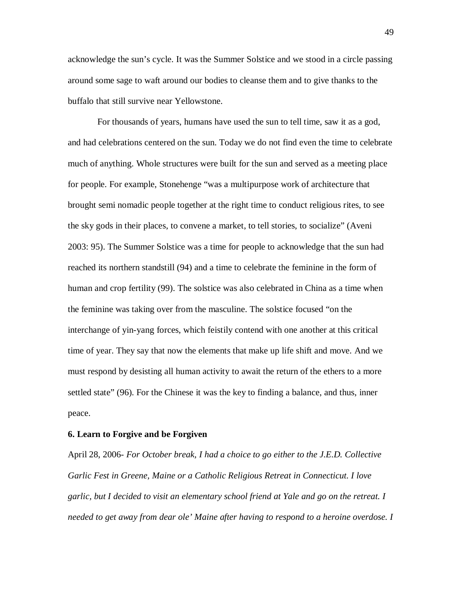acknowledge the sun's cycle. It was the Summer Solstice and we stood in a circle passing around some sage to waft around our bodies to cleanse them and to give thanks to the buffalo that still survive near Yellowstone.

For thousands of years, humans have used the sun to tell time, saw it as a god, and had celebrations centered on the sun. Today we do not find even the time to celebrate much of anything. Whole structures were built for the sun and served as a meeting place for people. For example, Stonehenge "was a multipurpose work of architecture that brought semi nomadic people together at the right time to conduct religious rites, to see the sky gods in their places, to convene a market, to tell stories, to socialize" (Aveni 2003: 95). The Summer Solstice was a time for people to acknowledge that the sun had reached its northern standstill (94) and a time to celebrate the feminine in the form of human and crop fertility (99). The solstice was also celebrated in China as a time when the feminine was taking over from the masculine. The solstice focused "on the interchange of yin-yang forces, which feistily contend with one another at this critical time of year. They say that now the elements that make up life shift and move. And we must respond by desisting all human activity to await the return of the ethers to a more settled state" (96). For the Chinese it was the key to finding a balance, and thus, inner peace.

#### **6. Learn to Forgive and be Forgiven**

April 28, 2006- *For October break, I had a choice to go either to the J.E.D. Collective Garlic Fest in Greene, Maine or a Catholic Religious Retreat in Connecticut. I love garlic, but I decided to visit an elementary school friend at Yale and go on the retreat. I needed to get away from dear ole' Maine after having to respond to a heroine overdose. I*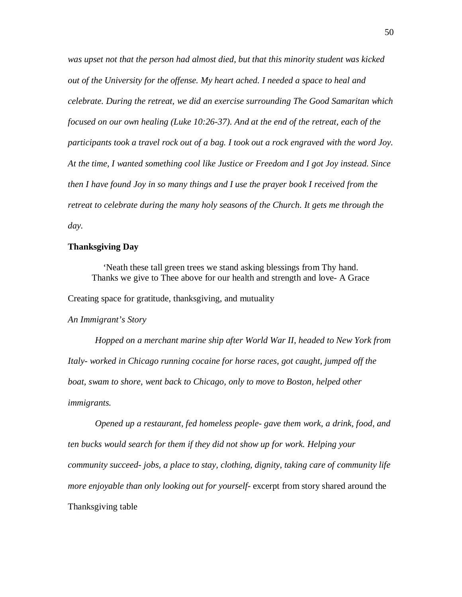*was upset not that the person had almost died, but that this minority student was kicked out of the University for the offense. My heart ached. I needed a space to heal and celebrate. During the retreat, we did an exercise surrounding The Good Samaritan which focused on our own healing (Luke 10:26-37). And at the end of the retreat, each of the participants took a travel rock out of a bag. I took out a rock engraved with the word Joy. At the time, I wanted something cool like Justice or Freedom and I got Joy instead. Since then I have found Joy in so many things and I use the prayer book I received from the retreat to celebrate during the many holy seasons of the Church. It gets me through the day.*

#### **Thanksgiving Day**

'Neath these tall green trees we stand asking blessings from Thy hand. Thanks we give to Thee above for our health and strength and love- A Grace

Creating space for gratitude, thanksgiving, and mutuality

*An Immigrant's Story*

*Hopped on a merchant marine ship after World War II, headed to New York from Italy- worked in Chicago running cocaine for horse races, got caught, jumped off the boat, swam to shore, went back to Chicago, only to move to Boston, helped other immigrants.*

*Opened up a restaurant, fed homeless people- gave them work, a drink, food, and ten bucks would search for them if they did not show up for work. Helping your community succeed- jobs, a place to stay, clothing, dignity, taking care of community life more enjoyable than only looking out for yourself*- excerpt from story shared around the Thanksgiving table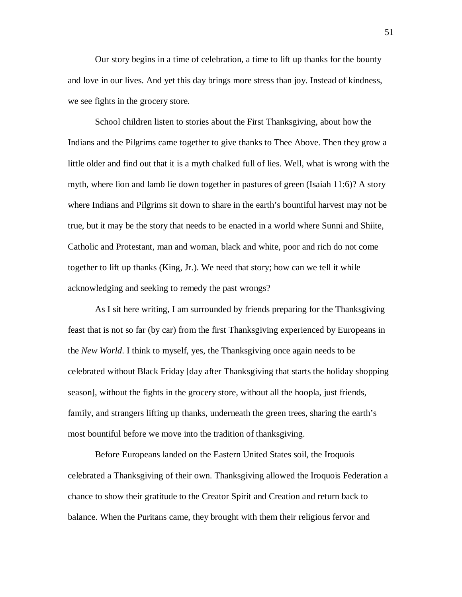Our story begins in a time of celebration, a time to lift up thanks for the bounty and love in our lives. And yet this day brings more stress than joy. Instead of kindness, we see fights in the grocery store.

School children listen to stories about the First Thanksgiving, about how the Indians and the Pilgrims came together to give thanks to Thee Above. Then they grow a little older and find out that it is a myth chalked full of lies. Well, what is wrong with the myth, where lion and lamb lie down together in pastures of green (Isaiah 11:6)? A story where Indians and Pilgrims sit down to share in the earth's bountiful harvest may not be true, but it may be the story that needs to be enacted in a world where Sunni and Shiite, Catholic and Protestant, man and woman, black and white, poor and rich do not come together to lift up thanks (King, Jr.). We need that story; how can we tell it while acknowledging and seeking to remedy the past wrongs?

As I sit here writing, I am surrounded by friends preparing for the Thanksgiving feast that is not so far (by car) from the first Thanksgiving experienced by Europeans in the *New World*. I think to myself, yes, the Thanksgiving once again needs to be celebrated without Black Friday [day after Thanksgiving that starts the holiday shopping season], without the fights in the grocery store, without all the hoopla, just friends, family, and strangers lifting up thanks, underneath the green trees, sharing the earth's most bountiful before we move into the tradition of thanksgiving.

Before Europeans landed on the Eastern United States soil, the Iroquois celebrated a Thanksgiving of their own. Thanksgiving allowed the Iroquois Federation a chance to show their gratitude to the Creator Spirit and Creation and return back to balance. When the Puritans came, they brought with them their religious fervor and

51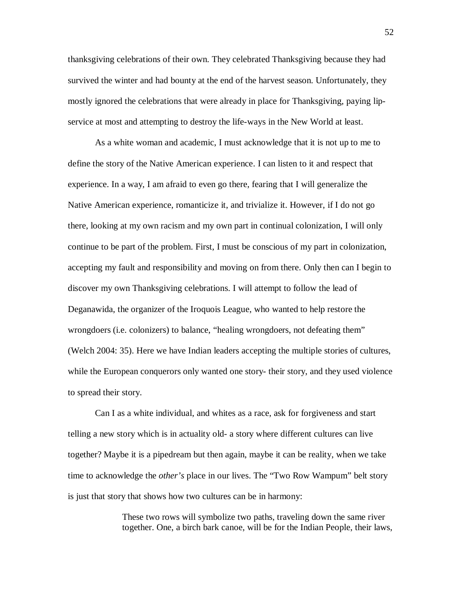thanksgiving celebrations of their own. They celebrated Thanksgiving because they had survived the winter and had bounty at the end of the harvest season. Unfortunately, they mostly ignored the celebrations that were already in place for Thanksgiving, paying lipservice at most and attempting to destroy the life-ways in the New World at least.

As a white woman and academic, I must acknowledge that it is not up to me to define the story of the Native American experience. I can listen to it and respect that experience. In a way, I am afraid to even go there, fearing that I will generalize the Native American experience, romanticize it, and trivialize it. However, if I do not go there, looking at my own racism and my own part in continual colonization, I will only continue to be part of the problem. First, I must be conscious of my part in colonization, accepting my fault and responsibility and moving on from there. Only then can I begin to discover my own Thanksgiving celebrations. I will attempt to follow the lead of Deganawida, the organizer of the Iroquois League, who wanted to help restore the wrongdoers (i.e. colonizers) to balance, "healing wrongdoers, not defeating them" (Welch 2004: 35). Here we have Indian leaders accepting the multiple stories of cultures, while the European conquerors only wanted one story- their story, and they used violence to spread their story.

Can I as a white individual, and whites as a race, ask for forgiveness and start telling a new story which is in actuality old- a story where different cultures can live together? Maybe it is a pipedream but then again, maybe it can be reality, when we take time to acknowledge the *other's* place in our lives. The "Two Row Wampum" belt story is just that story that shows how two cultures can be in harmony:

> These two rows will symbolize two paths, traveling down the same river together. One, a birch bark canoe, will be for the Indian People, their laws,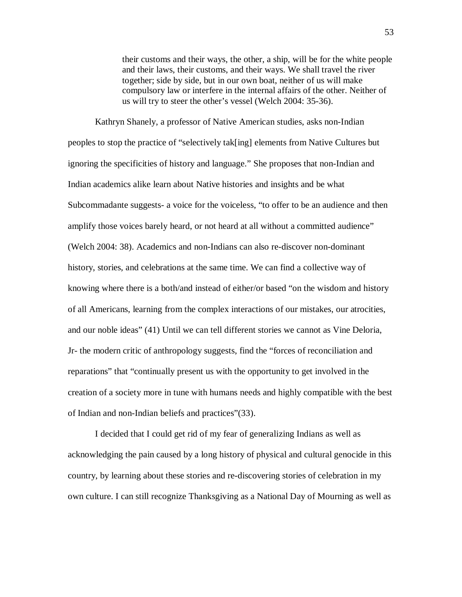their customs and their ways, the other, a ship, will be for the white people and their laws, their customs, and their ways. We shall travel the river together; side by side, but in our own boat, neither of us will make compulsory law or interfere in the internal affairs of the other. Neither of us will try to steer the other's vessel (Welch 2004: 35-36).

Kathryn Shanely, a professor of Native American studies, asks non-Indian peoples to stop the practice of "selectively tak[ing] elements from Native Cultures but ignoring the specificities of history and language." She proposes that non-Indian and Indian academics alike learn about Native histories and insights and be what Subcommadante suggests- a voice for the voiceless, "to offer to be an audience and then amplify those voices barely heard, or not heard at all without a committed audience" (Welch 2004: 38). Academics and non-Indians can also re-discover non-dominant history, stories, and celebrations at the same time. We can find a collective way of knowing where there is a both/and instead of either/or based "on the wisdom and history of all Americans, learning from the complex interactions of our mistakes, our atrocities, and our noble ideas" (41) Until we can tell different stories we cannot as Vine Deloria, Jr- the modern critic of anthropology suggests, find the "forces of reconciliation and reparations" that "continually present us with the opportunity to get involved in the creation of a society more in tune with humans needs and highly compatible with the best of Indian and non-Indian beliefs and practices"(33).

I decided that I could get rid of my fear of generalizing Indians as well as acknowledging the pain caused by a long history of physical and cultural genocide in this country, by learning about these stories and re-discovering stories of celebration in my own culture. I can still recognize Thanksgiving as a National Day of Mourning as well as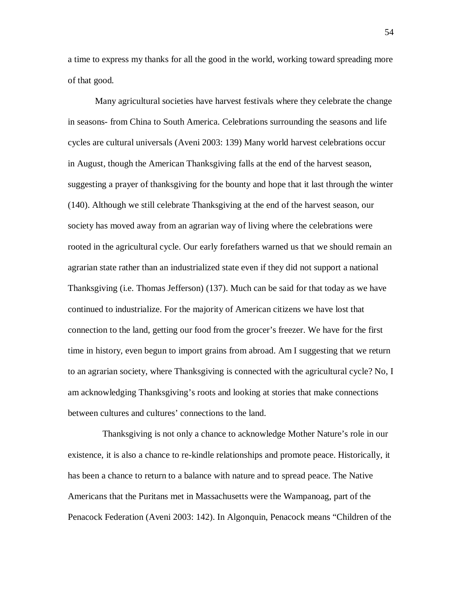a time to express my thanks for all the good in the world, working toward spreading more of that good.

Many agricultural societies have harvest festivals where they celebrate the change in seasons- from China to South America. Celebrations surrounding the seasons and life cycles are cultural universals (Aveni 2003: 139) Many world harvest celebrations occur in August, though the American Thanksgiving falls at the end of the harvest season, suggesting a prayer of thanksgiving for the bounty and hope that it last through the winter (140). Although we still celebrate Thanksgiving at the end of the harvest season, our society has moved away from an agrarian way of living where the celebrations were rooted in the agricultural cycle. Our early forefathers warned us that we should remain an agrarian state rather than an industrialized state even if they did not support a national Thanksgiving (i.e. Thomas Jefferson) (137). Much can be said for that today as we have continued to industrialize. For the majority of American citizens we have lost that connection to the land, getting our food from the grocer's freezer. We have for the first time in history, even begun to import grains from abroad. Am I suggesting that we return to an agrarian society, where Thanksgiving is connected with the agricultural cycle? No, I am acknowledging Thanksgiving's roots and looking at stories that make connections between cultures and cultures' connections to the land.

Thanksgiving is not only a chance to acknowledge Mother Nature's role in our existence, it is also a chance to re-kindle relationships and promote peace. Historically, it has been a chance to return to a balance with nature and to spread peace. The Native Americans that the Puritans met in Massachusetts were the Wampanoag, part of the Penacock Federation (Aveni 2003: 142). In Algonquin, Penacock means "Children of the

54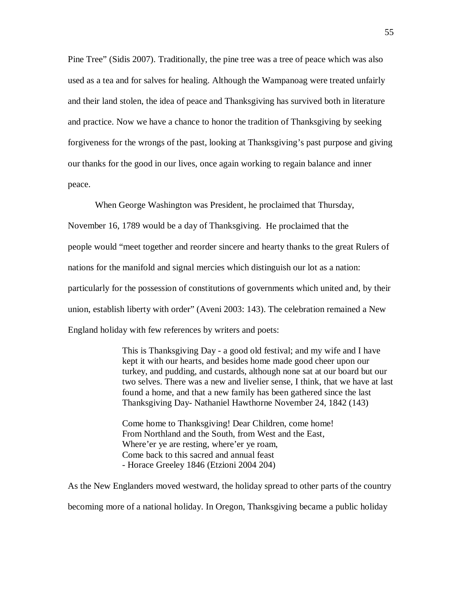Pine Tree" (Sidis 2007). Traditionally, the pine tree was a tree of peace which was also used as a tea and for salves for healing. Although the Wampanoag were treated unfairly and their land stolen, the idea of peace and Thanksgiving has survived both in literature and practice. Now we have a chance to honor the tradition of Thanksgiving by seeking forgiveness for the wrongs of the past, looking at Thanksgiving's past purpose and giving our thanks for the good in our lives, once again working to regain balance and inner peace.

When George Washington was President, he proclaimed that Thursday, November 16, 1789 would be a day of Thanksgiving. He proclaimed that the people would "meet together and reorder sincere and hearty thanks to the great Rulers of nations for the manifold and signal mercies which distinguish our lot as a nation: particularly for the possession of constitutions of governments which united and, by their union, establish liberty with order" (Aveni 2003: 143). The celebration remained a New England holiday with few references by writers and poets:

> This is Thanksgiving Day - a good old festival; and my wife and I have kept it with our hearts, and besides home made good cheer upon our turkey, and pudding, and custards, although none sat at our board but our two selves. There was a new and livelier sense, I think, that we have at last found a home, and that a new family has been gathered since the last Thanksgiving Day- Nathaniel Hawthorne November 24, 1842 (143)

Come home to Thanksgiving! Dear Children, come home! From Northland and the South, from West and the East, Where'er ye are resting, where'er ye roam, Come back to this sacred and annual feast - Horace Greeley 1846 (Etzioni 2004 204)

As the New Englanders moved westward, the holiday spread to other parts of the country becoming more of a national holiday. In Oregon, Thanksgiving became a public holiday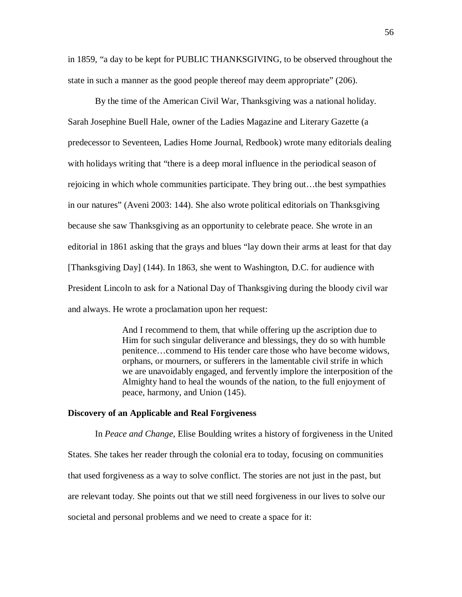in 1859, "a day to be kept for PUBLIC THANKSGIVING, to be observed throughout the state in such a manner as the good people thereof may deem appropriate" (206).

By the time of the American Civil War, Thanksgiving was a national holiday. Sarah Josephine Buell Hale, owner of the Ladies Magazine and Literary Gazette (a predecessor to Seventeen, Ladies Home Journal, Redbook) wrote many editorials dealing with holidays writing that "there is a deep moral influence in the periodical season of rejoicing in which whole communities participate. They bring out…the best sympathies in our natures" (Aveni 2003: 144). She also wrote political editorials on Thanksgiving because she saw Thanksgiving as an opportunity to celebrate peace. She wrote in an editorial in 1861 asking that the grays and blues "lay down their arms at least for that day [Thanksgiving Day] (144). In 1863, she went to Washington, D.C. for audience with President Lincoln to ask for a National Day of Thanksgiving during the bloody civil war and always. He wrote a proclamation upon her request:

> And I recommend to them, that while offering up the ascription due to Him for such singular deliverance and blessings, they do so with humble penitence…commend to His tender care those who have become widows, orphans, or mourners, or sufferers in the lamentable civil strife in which we are unavoidably engaged, and fervently implore the interposition of the Almighty hand to heal the wounds of the nation, to the full enjoyment of peace, harmony, and Union (145).

### **Discovery of an Applicable and Real Forgiveness**

In *Peace and Change*, Elise Boulding writes a history of forgiveness in the United States. She takes her reader through the colonial era to today, focusing on communities that used forgiveness as a way to solve conflict. The stories are not just in the past, but are relevant today. She points out that we still need forgiveness in our lives to solve our societal and personal problems and we need to create a space for it: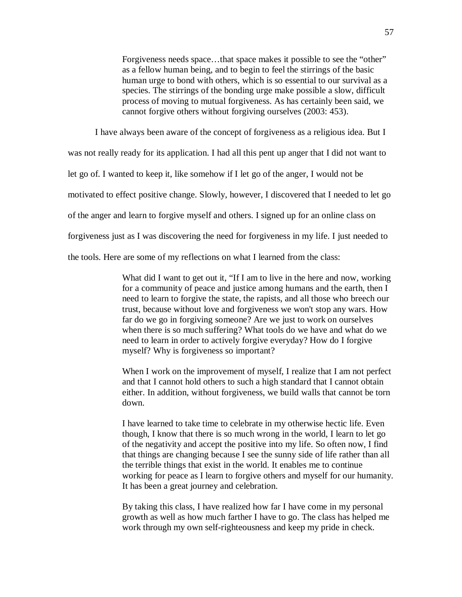Forgiveness needs space…that space makes it possible to see the "other" as a fellow human being, and to begin to feel the stirrings of the basic human urge to bond with others, which is so essential to our survival as a species. The stirrings of the bonding urge make possible a slow, difficult process of moving to mutual forgiveness. As has certainly been said, we cannot forgive others without forgiving ourselves (2003: 453).

I have always been aware of the concept of forgiveness as a religious idea. But I was not really ready for its application. I had all this pent up anger that I did not want to let go of. I wanted to keep it, like somehow if I let go of the anger, I would not be motivated to effect positive change. Slowly, however, I discovered that I needed to let go of the anger and learn to forgive myself and others. I signed up for an online class on forgiveness just as I was discovering the need for forgiveness in my life. I just needed to the tools. Here are some of my reflections on what I learned from the class:

> What did I want to get out it, "If I am to live in the here and now, working for a community of peace and justice among humans and the earth, then I need to learn to forgive the state, the rapists, and all those who breech our trust, because without love and forgiveness we won't stop any wars. How far do we go in forgiving someone? Are we just to work on ourselves when there is so much suffering? What tools do we have and what do we need to learn in order to actively forgive everyday? How do I forgive myself? Why is forgiveness so important?

> When I work on the improvement of myself, I realize that I am not perfect and that I cannot hold others to such a high standard that I cannot obtain either. In addition, without forgiveness, we build walls that cannot be torn down.

> I have learned to take time to celebrate in my otherwise hectic life. Even though, I know that there is so much wrong in the world, I learn to let go of the negativity and accept the positive into my life. So often now, I find that things are changing because I see the sunny side of life rather than all the terrible things that exist in the world. It enables me to continue working for peace as I learn to forgive others and myself for our humanity. It has been a great journey and celebration.

By taking this class, I have realized how far I have come in my personal growth as well as how much farther I have to go. The class has helped me work through my own self-righteousness and keep my pride in check.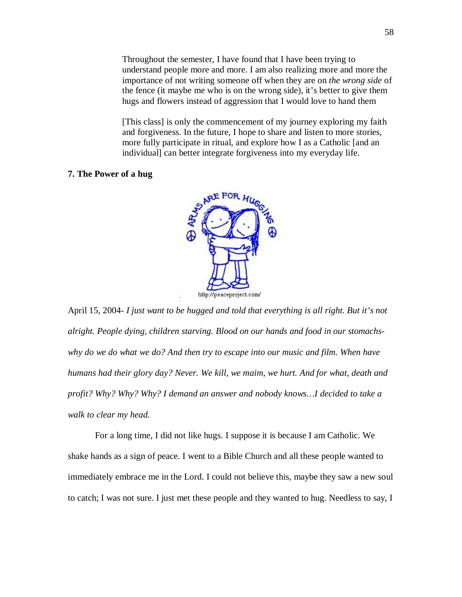Throughout the semester, I have found that I have been trying to understand people more and more. I am also realizing more and more the importance of not writing someone off when they are on *the wrong side* of the fence (it maybe me who is on the wrong side), it's better to give them hugs and flowers instead of aggression that I would love to hand them

[This class] is only the commencement of my journey exploring my faith and forgiveness. In the future, I hope to share and listen to more stories, more fully participate in ritual, and explore how I as a Catholic [and an individual] can better integrate forgiveness into my everyday life.

## **7. The Power of a hug**



April 15, 2004- *I just want to be hugged and told that everything is all right. But it's not alright. People dying, children starving. Blood on our hands and food in our stomachs*why do we do what we do? And then try to escape into our music and film. When have *humans had their glory day? Never. We kill, we maim, we hurt. And for what, death and profit? Why? Why? Why? I demand an answer and nobody knows…I decided to take a walk to clear my head.*

For a long time, I did not like hugs. I suppose it is because I am Catholic. We shake hands as a sign of peace. I went to a Bible Church and all these people wanted to immediately embrace me in the Lord. I could not believe this, maybe they saw a new soul to catch; I was not sure. I just met these people and they wanted to hug. Needless to say, I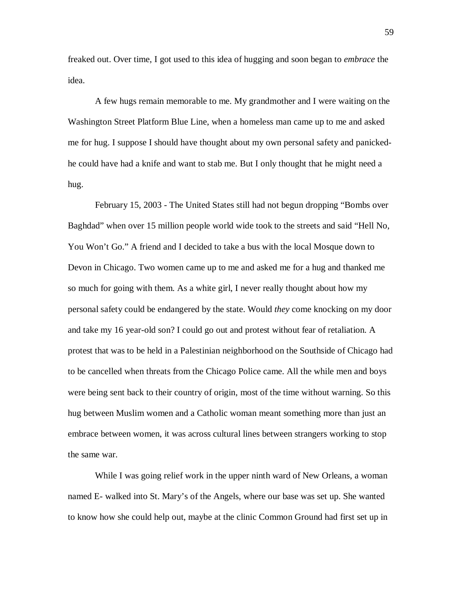freaked out. Over time, I got used to this idea of hugging and soon began to *embrace* the idea.

A few hugs remain memorable to me. My grandmother and I were waiting on the Washington Street Platform Blue Line, when a homeless man came up to me and asked me for hug. I suppose I should have thought about my own personal safety and panickedhe could have had a knife and want to stab me. But I only thought that he might need a hug.

February 15, 2003 - The United States still had not begun dropping "Bombs over Baghdad" when over 15 million people world wide took to the streets and said "Hell No, You Won't Go." A friend and I decided to take a bus with the local Mosque down to Devon in Chicago. Two women came up to me and asked me for a hug and thanked me so much for going with them. As a white girl, I never really thought about how my personal safety could be endangered by the state. Would *they* come knocking on my door and take my 16 year-old son? I could go out and protest without fear of retaliation. A protest that was to be held in a Palestinian neighborhood on the Southside of Chicago had to be cancelled when threats from the Chicago Police came. All the while men and boys were being sent back to their country of origin, most of the time without warning. So this hug between Muslim women and a Catholic woman meant something more than just an embrace between women, it was across cultural lines between strangers working to stop the same war.

While I was going relief work in the upper ninth ward of New Orleans, a woman named E- walked into St. Mary's of the Angels, where our base was set up. She wanted to know how she could help out, maybe at the clinic Common Ground had first set up in

59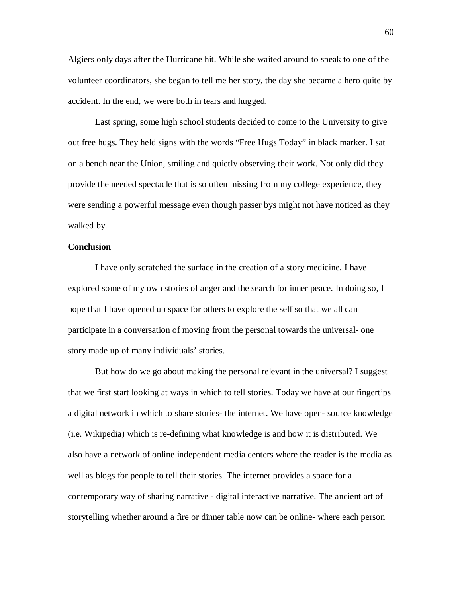Algiers only days after the Hurricane hit. While she waited around to speak to one of the volunteer coordinators, she began to tell me her story, the day she became a hero quite by accident. In the end, we were both in tears and hugged.

Last spring, some high school students decided to come to the University to give out free hugs. They held signs with the words "Free Hugs Today" in black marker. I sat on a bench near the Union, smiling and quietly observing their work. Not only did they provide the needed spectacle that is so often missing from my college experience, they were sending a powerful message even though passer bys might not have noticed as they walked by.

# **Conclusion**

I have only scratched the surface in the creation of a story medicine. I have explored some of my own stories of anger and the search for inner peace. In doing so, I hope that I have opened up space for others to explore the self so that we all can participate in a conversation of moving from the personal towards the universal- one story made up of many individuals' stories.

But how do we go about making the personal relevant in the universal? I suggest that we first start looking at ways in which to tell stories. Today we have at our fingertips a digital network in which to share stories- the internet. We have open- source knowledge (i.e. Wikipedia) which is re-defining what knowledge is and how it is distributed. We also have a network of online independent media centers where the reader is the media as well as blogs for people to tell their stories. The internet provides a space for a contemporary way of sharing narrative - digital interactive narrative. The ancient art of storytelling whether around a fire or dinner table now can be online- where each person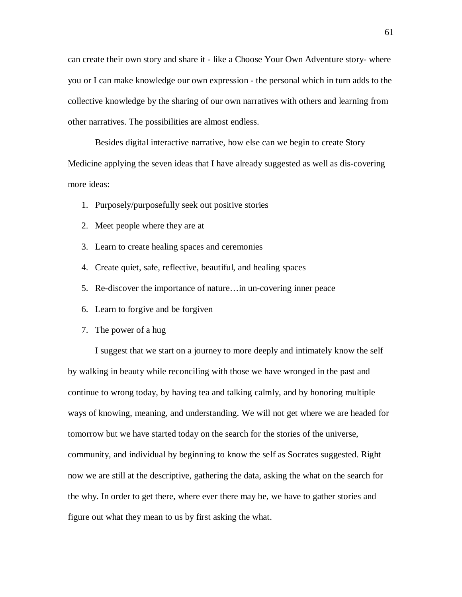can create their own story and share it - like a Choose Your Own Adventure story- where you or I can make knowledge our own expression - the personal which in turn adds to the collective knowledge by the sharing of our own narratives with others and learning from other narratives. The possibilities are almost endless.

Besides digital interactive narrative, how else can we begin to create Story Medicine applying the seven ideas that I have already suggested as well as dis-covering more ideas:

- 1. Purposely/purposefully seek out positive stories
- 2. Meet people where they are at
- 3. Learn to create healing spaces and ceremonies
- 4. Create quiet, safe, reflective, beautiful, and healing spaces
- 5. Re-discover the importance of nature…in un-covering inner peace
- 6. Learn to forgive and be forgiven
- 7. The power of a hug

I suggest that we start on a journey to more deeply and intimately know the self by walking in beauty while reconciling with those we have wronged in the past and continue to wrong today, by having tea and talking calmly, and by honoring multiple ways of knowing, meaning, and understanding. We will not get where we are headed for tomorrow but we have started today on the search for the stories of the universe, community, and individual by beginning to know the self as Socrates suggested. Right now we are still at the descriptive, gathering the data, asking the what on the search for the why. In order to get there, where ever there may be, we have to gather stories and figure out what they mean to us by first asking the what.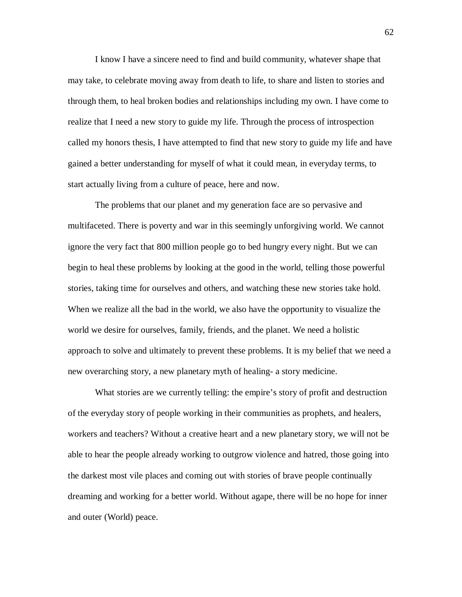I know I have a sincere need to find and build community, whatever shape that may take, to celebrate moving away from death to life, to share and listen to stories and through them, to heal broken bodies and relationships including my own. I have come to realize that I need a new story to guide my life. Through the process of introspection called my honors thesis, I have attempted to find that new story to guide my life and have gained a better understanding for myself of what it could mean, in everyday terms, to start actually living from a culture of peace, here and now.

The problems that our planet and my generation face are so pervasive and multifaceted. There is poverty and war in this seemingly unforgiving world. We cannot ignore the very fact that 800 million people go to bed hungry every night. But we can begin to heal these problems by looking at the good in the world, telling those powerful stories, taking time for ourselves and others, and watching these new stories take hold. When we realize all the bad in the world, we also have the opportunity to visualize the world we desire for ourselves, family, friends, and the planet. We need a holistic approach to solve and ultimately to prevent these problems. It is my belief that we need a new overarching story, a new planetary myth of healing- a story medicine.

What stories are we currently telling: the empire's story of profit and destruction of the everyday story of people working in their communities as prophets, and healers, workers and teachers? Without a creative heart and a new planetary story, we will not be able to hear the people already working to outgrow violence and hatred, those going into the darkest most vile places and coming out with stories of brave people continually dreaming and working for a better world. Without agape, there will be no hope for inner and outer (World) peace.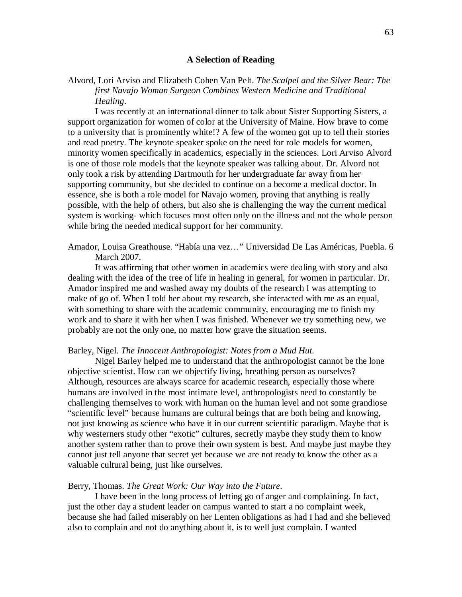#### **A Selection of Reading**

Alvord, Lori Arviso and Elizabeth Cohen Van Pelt. *The Scalpel and the Silver Bear: The first Navajo Woman Surgeon Combines Western Medicine and Traditional Healing*.

I was recently at an international dinner to talk about Sister Supporting Sisters, a support organization for women of color at the University of Maine. How brave to come to a university that is prominently white!? A few of the women got up to tell their stories and read poetry. The keynote speaker spoke on the need for role models for women, minority women specifically in academics, especially in the sciences. Lori Arviso Alvord is one of those role models that the keynote speaker was talking about. Dr. Alvord not only took a risk by attending Dartmouth for her undergraduate far away from her supporting community, but she decided to continue on a become a medical doctor. In essence, she is both a role model for Navajo women, proving that anything is really possible, with the help of others, but also she is challenging the way the current medical system is working- which focuses most often only on the illness and not the whole person while bring the needed medical support for her community.

Amador, Louisa Greathouse. "Había una vez…" Universidad De Las Américas, Puebla. 6 March 2007.

It was affirming that other women in academics were dealing with story and also dealing with the idea of the tree of life in healing in general, for women in particular. Dr. Amador inspired me and washed away my doubts of the research I was attempting to make of go of. When I told her about my research, she interacted with me as an equal, with something to share with the academic community, encouraging me to finish my work and to share it with her when I was finished. Whenever we try something new, we probably are not the only one, no matter how grave the situation seems.

### Barley, Nigel. *The Innocent Anthropologist: Notes from a Mud Hut.*

Nigel Barley helped me to understand that the anthropologist cannot be the lone objective scientist. How can we objectify living, breathing person as ourselves? Although, resources are always scarce for academic research, especially those where humans are involved in the most intimate level, anthropologists need to constantly be challenging themselves to work with human on the human level and not some grandiose "scientific level" because humans are cultural beings that are both being and knowing, not just knowing as science who have it in our current scientific paradigm. Maybe that is why westerners study other "exotic" cultures, secretly maybe they study them to know another system rather than to prove their own system is best. And maybe just maybe they cannot just tell anyone that secret yet because we are not ready to know the other as a valuable cultural being, just like ourselves.

### Berry, Thomas. *The Great Work: Our Way into the Future*.

I have been in the long process of letting go of anger and complaining. In fact, just the other day a student leader on campus wanted to start a no complaint week, because she had failed miserably on her Lenten obligations as had I had and she believed also to complain and not do anything about it, is to well just complain. I wanted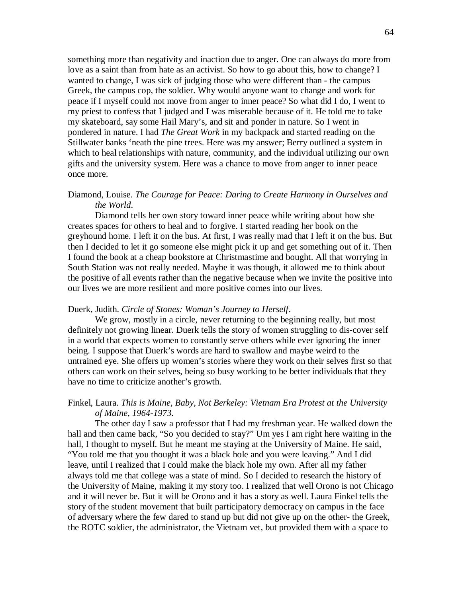something more than negativity and inaction due to anger. One can always do more from love as a saint than from hate as an activist. So how to go about this, how to change? I wanted to change, I was sick of judging those who were different than - the campus Greek, the campus cop, the soldier. Why would anyone want to change and work for peace if I myself could not move from anger to inner peace? So what did I do, I went to my priest to confess that I judged and I was miserable because of it. He told me to take my skateboard, say some Hail Mary's, and sit and ponder in nature. So I went in pondered in nature. I had *The Great Work* in my backpack and started reading on the Stillwater banks 'neath the pine trees. Here was my answer; Berry outlined a system in which to heal relationships with nature, community, and the individual utilizing our own gifts and the university system. Here was a chance to move from anger to inner peace once more.

# Diamond, Louise. *The Courage for Peace: Daring to Create Harmony in Ourselves and the World*.

Diamond tells her own story toward inner peace while writing about how she creates spaces for others to heal and to forgive. I started reading her book on the greyhound home. I left it on the bus. At first, I was really mad that I left it on the bus. But then I decided to let it go someone else might pick it up and get something out of it. Then I found the book at a cheap bookstore at Christmastime and bought. All that worrying in South Station was not really needed. Maybe it was though, it allowed me to think about the positive of all events rather than the negative because when we invite the positive into our lives we are more resilient and more positive comes into our lives.

### Duerk, Judith. *Circle of Stones: Woman's Journey to Herself*.

We grow, mostly in a circle, never returning to the beginning really, but most definitely not growing linear. Duerk tells the story of women struggling to dis-cover self in a world that expects women to constantly serve others while ever ignoring the inner being. I suppose that Duerk's words are hard to swallow and maybe weird to the untrained eye. She offers up women's stories where they work on their selves first so that others can work on their selves, being so busy working to be better individuals that they have no time to criticize another's growth.

# Finkel, Laura. *This is Maine, Baby, Not Berkeley: Vietnam Era Protest at the University of Maine, 1964-1973*.

The other day I saw a professor that I had my freshman year. He walked down the hall and then came back, "So you decided to stay?" Um yes I am right here waiting in the hall, I thought to myself. But he meant me staying at the University of Maine. He said, "You told me that you thought it was a black hole and you were leaving." And I did leave, until I realized that I could make the black hole my own. After all my father always told me that college was a state of mind. So I decided to research the history of the University of Maine, making it my story too. I realized that well Orono is not Chicago and it will never be. But it will be Orono and it has a story as well. Laura Finkel tells the story of the student movement that built participatory democracy on campus in the face of adversary where the few dared to stand up but did not give up on the other- the Greek, the ROTC soldier, the administrator, the Vietnam vet, but provided them with a space to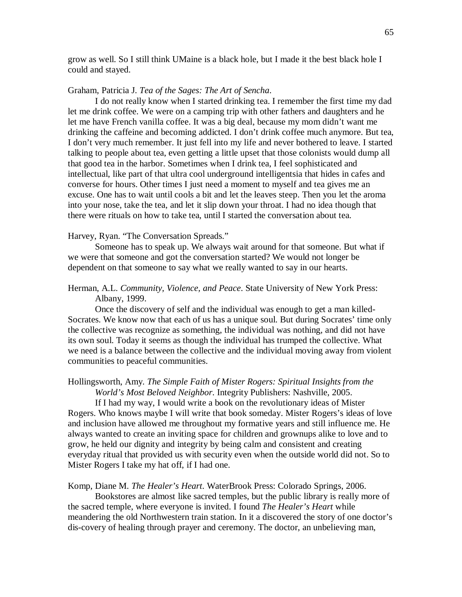grow as well. So I still think UMaine is a black hole, but I made it the best black hole I could and stayed.

#### Graham, Patricia J. *Tea of the Sages: The Art of Sencha*.

I do not really know when I started drinking tea. I remember the first time my dad let me drink coffee. We were on a camping trip with other fathers and daughters and he let me have French vanilla coffee. It was a big deal, because my mom didn't want me drinking the caffeine and becoming addicted. I don't drink coffee much anymore. But tea, I don't very much remember. It just fell into my life and never bothered to leave. I started talking to people about tea, even getting a little upset that those colonists would dump all that good tea in the harbor. Sometimes when I drink tea, I feel sophisticated and intellectual, like part of that ultra cool underground intelligentsia that hides in cafes and converse for hours. Other times I just need a moment to myself and tea gives me an excuse. One has to wait until cools a bit and let the leaves steep. Then you let the aroma into your nose, take the tea, and let it slip down your throat. I had no idea though that there were rituals on how to take tea, until I started the conversation about tea.

### Harvey, Ryan. "The Conversation Spreads."

Someone has to speak up. We always wait around for that someone. But what if we were that someone and got the conversation started? We would not longer be dependent on that someone to say what we really wanted to say in our hearts.

# Herman, A.L. *Community, Violence, and Peace*. State University of New York Press: Albany, 1999.

Once the discovery of self and the individual was enough to get a man killed-Socrates. We know now that each of us has a unique soul. But during Socrates' time only the collective was recognize as something, the individual was nothing, and did not have its own soul. Today it seems as though the individual has trumped the collective. What we need is a balance between the collective and the individual moving away from violent communities to peaceful communities.

### Hollingsworth, Amy. *The Simple Faith of Mister Rogers: Spiritual Insights from the World's Most Beloved Neighbor*. Integrity Publishers: Nashville, 2005.

If I had my way, I would write a book on the revolutionary ideas of Mister Rogers. Who knows maybe I will write that book someday. Mister Rogers's ideas of love and inclusion have allowed me throughout my formative years and still influence me. He always wanted to create an inviting space for children and grownups alike to love and to grow, he held our dignity and integrity by being calm and consistent and creating everyday ritual that provided us with security even when the outside world did not. So to Mister Rogers I take my hat off, if I had one.

### Komp, Diane M. *The Healer's Heart*. WaterBrook Press: Colorado Springs, 2006.

Bookstores are almost like sacred temples, but the public library is really more of the sacred temple, where everyone is invited. I found *The Healer's Heart* while meandering the old Northwestern train station. In it a discovered the story of one doctor's dis-covery of healing through prayer and ceremony. The doctor, an unbelieving man,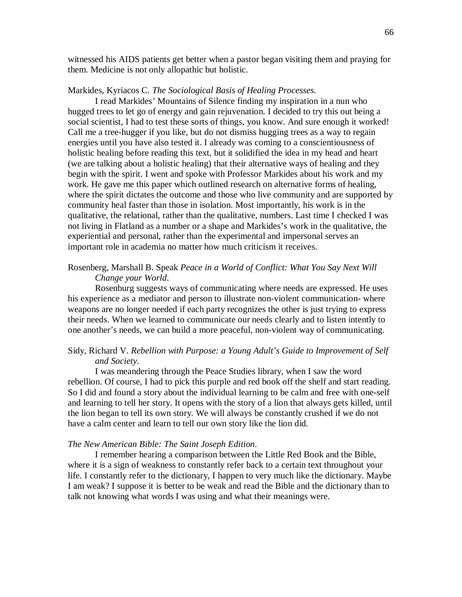witnessed his AIDS patients get better when a pastor began visiting them and praying for them. Medicine is not only allopathic but holistic.

#### Markides, Kyriacos C. *The Sociological Basis of Healing Processes.*

I read Markides' Mountains of Silence finding my inspiration in a nun who hugged trees to let go of energy and gain rejuvenation. I decided to try this out being a social scientist, I had to test these sorts of things, you know. And sure enough it worked! Call me a tree-hugger if you like, but do not dismiss hugging trees as a way to regain energies until you have also tested it. I already was coming to a conscientiousness of holistic healing before reading this text, but it solidified the idea in my head and heart (we are talking about a holistic healing) that their alternative ways of healing and they begin with the spirit. I went and spoke with Professor Markides about his work and my work. He gave me this paper which outlined research on alternative forms of healing, where the spirit dictates the outcome and those who live community and are supported by community heal faster than those in isolation. Most importantly, his work is in the qualitative, the relational, rather than the qualitative, numbers. Last time I checked I was not living in Flatland as a number or a shape and Markides's work in the qualitative, the experiential and personal, rather than the experimental and impersonal serves an important role in academia no matter how much criticism it receives.

# Rosenberg, Marshall B. Speak *Peace in a World of Conflict: What You Say Next Will Change your World*.

Rosenburg suggests ways of communicating where needs are expressed. He uses his experience as a mediator and person to illustrate non-violent communication- where weapons are no longer needed if each party recognizes the other is just trying to express their needs. When we learned to communicate our needs clearly and to listen intently to one another's needs, we can build a more peaceful, non-violent way of communicating.

# Sidy, Richard V. *Rebellion with Purpose: a Young Adult's Guide to Improvement of Self and Society*.

I was meandering through the Peace Studies library, when I saw the word rebellion. Of course, I had to pick this purple and red book off the shelf and start reading. So I did and found a story about the individual learning to be calm and free with one-self and learning to tell her story. It opens with the story of a lion that always gets killed, until the lion began to tell its own story. We will always be constantly crushed if we do not have a calm center and learn to tell our own story like the lion did.

### *The New American Bible: The Saint Joseph Edition*.

I remember hearing a comparison between the Little Red Book and the Bible, where it is a sign of weakness to constantly refer back to a certain text throughout your life. I constantly refer to the dictionary, I happen to very much like the dictionary. Maybe I am weak? I suppose it is better to be weak and read the Bible and the dictionary than to talk not knowing what words I was using and what their meanings were.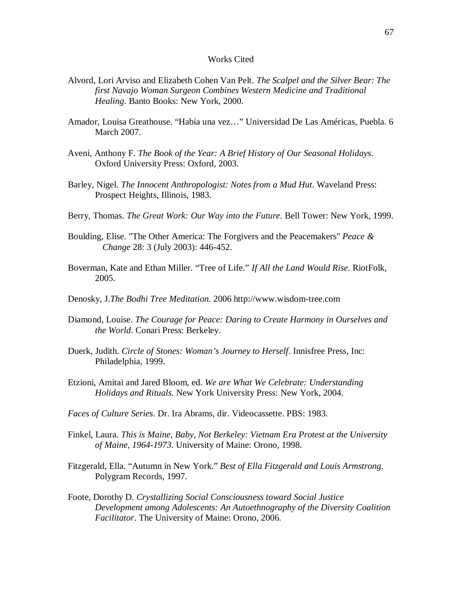### Works Cited

- Alvord, Lori Arviso and Elizabeth Cohen Van Pelt. *The Scalpel and the Silver Bear: The first Navajo Woman Surgeon Combines Western Medicine and Traditional Healing*. Banto Books: New York, 2000.
- Amador, Louisa Greathouse. "Había una vez…" Universidad De Las Américas, Puebla. 6 March 2007.
- Aveni, Anthony F. *The Book of the Year: A Brief History of Our Seasonal Holidays*. Oxford University Press: Oxford, 2003.
- Barley, Nigel. *The Innocent Anthropologist: Notes from a Mud Hut*. Waveland Press: Prospect Heights, Illinois, 1983.
- Berry, Thomas. *The Great Work: Our Way into the Future*. Bell Tower: New York, 1999.
- Boulding, Elise. "The Other America: The Forgivers and the Peacemakers" *Peace & Change* 28: 3 (July 2003): 446-452.
- Boverman, Kate and Ethan Miller. "Tree of Life." *If All the Land Would Rise*. RiotFolk, 2005.
- Denosky, J.*The Bodhi Tree Meditation*. 2006 http://www.wisdom-tree.com
- Diamond, Louise. *The Courage for Peace: Daring to Create Harmony in Ourselves and the World*. Conari Press: Berkeley.
- Duerk, Judith. *Circle of Stones: Woman's Journey to Herself*. Innisfree Press, Inc: Philadelphia, 1999.
- Etzioni, Amitai and Jared Bloom, ed. *We are What We Celebrate: Understanding Holidays and Rituals.* New York University Press: New York, 2004.
- *Faces of Culture Series*. Dr. Ira Abrams, dir. Videocassette. PBS: 1983.
- Finkel, Laura. *This is Maine, Baby, Not Berkeley: Vietnam Era Protest at the University of Maine, 1964-1973*. University of Maine: Orono, 1998.
- Fitzgerald, Ella. "Autumn in New York." *Best of Ella Fitzgerald and Louis Armstrong*. Polygram Records, 1997.
- Foote, Dorothy D. *Crystallizing Social Consciousness toward Social Justice Development among Adolescents: An Autoethnography of the Diversity Coalition Facilitator*. The University of Maine: Orono, 2006.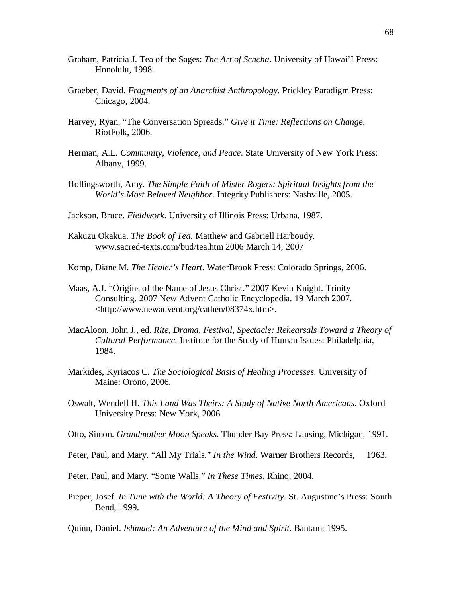- Graham, Patricia J. Tea of the Sages: *The Art of Sencha*. University of Hawai'I Press: Honolulu, 1998.
- Graeber, David. *Fragments of an Anarchist Anthropology*. Prickley Paradigm Press: Chicago, 2004.
- Harvey, Ryan. "The Conversation Spreads." *Give it Time: Reflections on Change*. RiotFolk, 2006.
- Herman, A.L. *Community, Violence, and Peace*. State University of New York Press: Albany, 1999.
- Hollingsworth, Amy. *The Simple Faith of Mister Rogers: Spiritual Insights from the World's Most Beloved Neighbor*. Integrity Publishers: Nashville, 2005.
- Jackson, Bruce. *Fieldwork*. University of Illinois Press: Urbana, 1987.
- Kakuzu Okakua. *The Book of Tea*. Matthew and Gabriell Harboudy. www.sacred-texts.com/bud/tea.htm 2006 March 14, 2007
- Komp, Diane M. *The Healer's Heart*. WaterBrook Press: Colorado Springs, 2006.
- Maas, A.J. "Origins of the Name of Jesus Christ." 2007 Kevin Knight. Trinity Consulting. 2007 New Advent Catholic Encyclopedia. 19 March 2007. <http://www.newadvent.org/cathen/08374x.htm>.
- MacAloon, John J., ed. *Rite, Drama, Festival, Spectacle: Rehearsals Toward a Theory of Cultural Performance.* Institute for the Study of Human Issues: Philadelphia, 1984.
- Markides, Kyriacos C. *The Sociological Basis of Healing Processes*. University of Maine: Orono, 2006.
- Oswalt, Wendell H. *This Land Was Theirs: A Study of Native North Americans*. Oxford University Press: New York, 2006.
- Otto, Simon. *Grandmother Moon Speaks*. Thunder Bay Press: Lansing, Michigan, 1991.
- Peter, Paul, and Mary. "All My Trials." *In the Wind*. Warner Brothers Records, 1963.
- Peter, Paul, and Mary. "Some Walls." *In These Times*. Rhino, 2004.
- Pieper, Josef. *In Tune with the World: A Theory of Festivity*. St. Augustine's Press: South Bend, 1999.
- Quinn, Daniel. *Ishmael: An Adventure of the Mind and Spirit*. Bantam: 1995.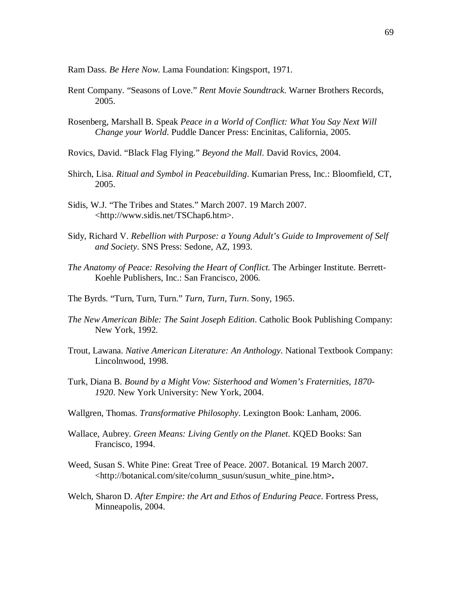Ram Dass. *Be Here Now*. Lama Foundation: Kingsport, 1971.

- Rent Company. "Seasons of Love." *Rent Movie Soundtrack*. Warner Brothers Records, 2005.
- Rosenberg, Marshall B. Speak *Peace in a World of Conflict: What You Say Next Will Change your World*. Puddle Dancer Press: Encinitas, California, 2005.
- Rovics, David. "Black Flag Flying." *Beyond the Mall*. David Rovics, 2004.
- Shirch, Lisa. *Ritual and Symbol in Peacebuilding*. Kumarian Press, Inc.: Bloomfield, CT, 2005.
- Sidis, W.J. "The Tribes and States." March 2007. 19 March 2007. <http://www.sidis.net/TSChap6.htm>.
- Sidy, Richard V. *Rebellion with Purpose: a Young Adult's Guide to Improvement of Self and Society*. SNS Press: Sedone, AZ, 1993.
- *The Anatomy of Peace: Resolving the Heart of Conflict*. The Arbinger Institute. Berrett-Koehle Publishers, Inc.: San Francisco, 2006.
- The Byrds. "Turn, Turn, Turn." *Turn, Turn, Turn*. Sony, 1965.
- *The New American Bible: The Saint Joseph Edition*. Catholic Book Publishing Company: New York, 1992.
- Trout, Lawana. *Native American Literature: An Anthology*. National Textbook Company: Lincolnwood, 1998.
- Turk, Diana B. *Bound by a Might Vow: Sisterhood and Women's Fraternities, 1870- 1920*. New York University: New York, 2004.
- Wallgren, Thomas. *Transformative Philosophy*. Lexington Book: Lanham, 2006.
- Wallace, Aubrey. *Green Means: Living Gently on the Planet*. KQED Books: San Francisco, 1994.
- Weed, Susan S. White Pine: Great Tree of Peace. 2007. Botanical. 19 March 2007. <http://botanical.com/site/column\_susun/susun\_white\_pine.htm**>.**
- Welch, Sharon D. *After Empire: the Art and Ethos of Enduring Peace*. Fortress Press, Minneapolis, 2004.